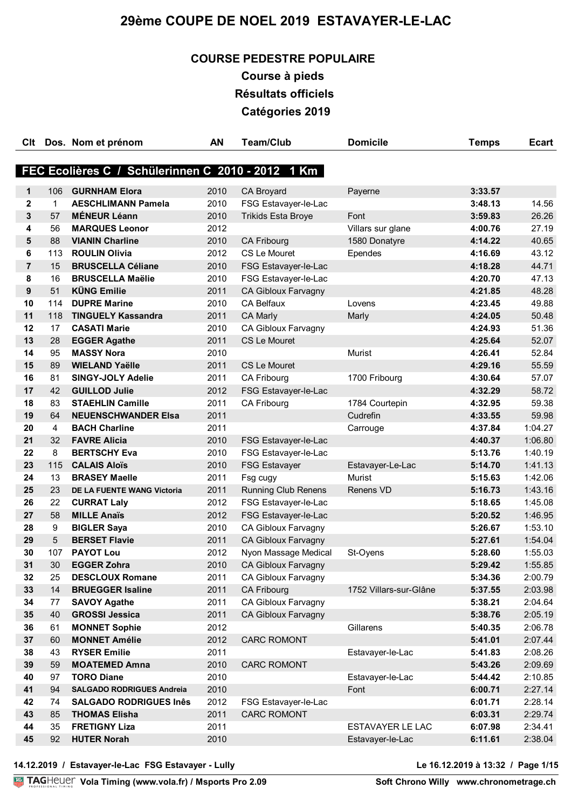# **COURSE PEDESTRE POPULAIRE**

**Course à pieds Résultats officiels Catégories 2019**

| <b>C</b> It    |             | Dos. Nom et prénom                                | <b>AN</b>    | <b>Team/Club</b>                           | <b>Domicile</b>        | <b>Temps</b>       | <b>Ecart</b>       |
|----------------|-------------|---------------------------------------------------|--------------|--------------------------------------------|------------------------|--------------------|--------------------|
|                |             |                                                   |              |                                            |                        |                    |                    |
|                |             | FEC Ecolières C / Schülerinnen C 2010 - 2012 1 Km |              |                                            |                        |                    |                    |
| 1              | 106         | <b>GURNHAM Elora</b>                              | 2010         | <b>CA Broyard</b>                          | Payerne                | 3:33.57            |                    |
| $\mathbf{2}$   | $\mathbf 1$ | <b>AESCHLIMANN Pamela</b>                         | 2010         | FSG Estavayer-le-Lac                       |                        | 3:48.13            | 14.56              |
| 3              | 57          | <b>MÉNEUR Léann</b>                               | 2010         | <b>Trikids Esta Broye</b>                  | Font                   | 3:59.83            | 26.26              |
| 4              | 56          | <b>MARQUES Leonor</b>                             | 2012         |                                            | Villars sur glane      | 4:00.76            | 27.19              |
| 5              | 88          | <b>VIANIN Charline</b>                            | 2010         | CA Fribourg                                | 1580 Donatyre          | 4:14.22            | 40.65              |
| 6              | 113         | <b>ROULIN Olivia</b>                              | 2012         | CS Le Mouret                               | Ependes                | 4:16.69            | 43.12              |
| $\overline{7}$ | 15          | <b>BRUSCELLA Céliane</b>                          | 2010         | FSG Estavayer-le-Lac                       |                        | 4:18.28            | 44.71              |
| 8              | 16          | <b>BRUSCELLA Maëlie</b>                           | 2010         | FSG Estavayer-le-Lac                       |                        | 4:20.70            | 47.13              |
| 9              | 51          | <b>KÜNG Emilie</b>                                | 2011         | CA Gibloux Farvagny                        |                        | 4:21.85            | 48.28              |
| 10             | 114         | <b>DUPRE Marine</b>                               | 2010         | CA Belfaux                                 | Lovens                 | 4:23.45            | 49.88              |
| 11             | 118         | <b>TINGUELY Kassandra</b>                         | 2011         | <b>CA Marly</b>                            | Marly                  | 4:24.05            | 50.48              |
| 12             | 17          | <b>CASATI Marie</b>                               | 2010         | CA Gibloux Farvagny                        |                        | 4:24.93            | 51.36              |
| 13             | 28          | <b>EGGER Agathe</b>                               | 2011         | CS Le Mouret                               |                        | 4:25.64            | 52.07              |
| 14             | 95          | <b>MASSY Nora</b>                                 | 2010         |                                            | <b>Murist</b>          | 4:26.41            | 52.84              |
| 15             | 89          | <b>WIELAND Yaëlle</b>                             | 2011         | <b>CS Le Mouret</b>                        |                        | 4:29.16            | 55.59              |
| 16             | 81          | <b>SINGY-JOLY Adelie</b>                          | 2011         | CA Fribourg                                | 1700 Fribourg          | 4:30.64            | 57.07              |
| 17             | 42          | <b>GUILLOD Julie</b>                              | 2012         | FSG Estavayer-le-Lac                       |                        | 4:32.29            | 58.72              |
| 18             | 83          | <b>STAEHLIN Camille</b>                           | 2011         | CA Fribourg                                | 1784 Courtepin         | 4:32.95            | 59.38              |
| 19             | 64          | <b>NEUENSCHWANDER EIsa</b>                        | 2011         |                                            | Cudrefin               | 4:33.55            | 59.98              |
| 20             | 4           | <b>BACH Charline</b>                              | 2011         |                                            | Carrouge               | 4:37.84            | 1:04.27            |
| 21             | 32          | <b>FAVRE Alicia</b>                               | 2010         | FSG Estavayer-le-Lac                       |                        | 4:40.37            | 1:06.80            |
| 22             | 8           | <b>BERTSCHY Eva</b>                               | 2010         | FSG Estavayer-le-Lac                       |                        | 5:13.76            | 1:40.19            |
| 23             | 115         | <b>CALAIS Aloïs</b>                               | 2010         | <b>FSG Estavayer</b>                       | Estavayer-Le-Lac       | 5:14.70            | 1:41.13            |
| 24             | 13          | <b>BRASEY Maelle</b>                              | 2011         | Fsg cugy                                   | Murist                 | 5:15.63            | 1:42.06            |
| 25             | 23          | DE LA FUENTE WANG Victoria                        | 2011         | <b>Running Club Renens</b>                 | Renens VD              | 5:16.73            | 1:43.16            |
| 26             | 22          | <b>CURRAT Laly</b>                                | 2012         | FSG Estavayer-le-Lac                       |                        | 5:18.65            | 1:45.08            |
| 27             | 58          | <b>MILLE Anaïs</b>                                | 2012         | FSG Estavayer-le-Lac                       |                        | 5:20.52            | 1:46.95            |
| 28             | 9           | <b>BIGLER Saya</b>                                | 2010         | CA Gibloux Farvagny                        |                        | 5:26.67            | 1:53.10            |
| 29             | 5           | <b>BERSET Flavie</b>                              | 2011         | <b>CA Gibloux Farvagny</b>                 |                        | 5:27.61            | 1:54.04            |
| 30<br>31       | 107<br>30   | <b>PAYOT Lou</b><br><b>EGGER Zohra</b>            | 2012<br>2010 | Nyon Massage Medical                       | St-Oyens               | 5:28.60            | 1:55.03            |
| 32             | 25          | <b>DESCLOUX Romane</b>                            | 2011         | CA Gibloux Farvagny<br>CA Gibloux Farvagny |                        | 5:29.42<br>5:34.36 | 1:55.85<br>2:00.79 |
| 33             | 14          | <b>BRUEGGER Isaline</b>                           | 2011         | <b>CA Fribourg</b>                         | 1752 Villars-sur-Glâne | 5:37.55            | 2:03.98            |
| 34             | 77          | <b>SAVOY Agathe</b>                               | 2011         | <b>CA Gibloux Farvagny</b>                 |                        | 5:38.21            | 2:04.64            |
| 35             | 40          | <b>GROSSI Jessica</b>                             | 2011         | <b>CA Gibloux Farvagny</b>                 |                        | 5:38.76            | 2:05.19            |
| 36             | 61          | <b>MONNET Sophie</b>                              | 2012         |                                            | Gillarens              | 5:40.35            | 2:06.78            |
| 37             | 60          | <b>MONNET Amélie</b>                              | 2012         | <b>CARC ROMONT</b>                         |                        | 5:41.01            | 2:07.44            |
| 38             | 43          | <b>RYSER Emilie</b>                               | 2011         |                                            | Estavayer-le-Lac       | 5:41.83            | 2:08.26            |
| 39             | 59          | <b>MOATEMED Amna</b>                              | 2010         | <b>CARC ROMONT</b>                         |                        | 5:43.26            | 2:09.69            |
| 40             | 97          | <b>TORO Diane</b>                                 | 2010         |                                            | Estavayer-le-Lac       | 5:44.42            | 2:10.85            |
| 41             | 94          | <b>SALGADO RODRIGUES Andreia</b>                  | 2010         |                                            | Font                   | 6:00.71            | 2:27.14            |
| 42             | 74          | <b>SALGADO RODRIGUES Inês</b>                     | 2012         | FSG Estavayer-le-Lac                       |                        | 6:01.71            | 2:28.14            |
| 43             | 85          | <b>THOMAS Elisha</b>                              | 2011         | <b>CARC ROMONT</b>                         |                        | 6:03.31            | 2:29.74            |
| 44             | 35          | <b>FRETIGNY Liza</b>                              | 2011         |                                            | ESTAVAYER LE LAC       | 6:07.98            | 2:34.41            |
| 45             | 92          | <b>HUTER Norah</b>                                | 2010         |                                            | Estavayer-le-Lac       | 6:11.61            | 2:38.04            |
|                |             |                                                   |              |                                            |                        |                    |                    |

**14.12.2019 / Estavayer-le-Lac FSG Estavayer - Lully Le 16.12.2019 à 13:32 / Page 1/15**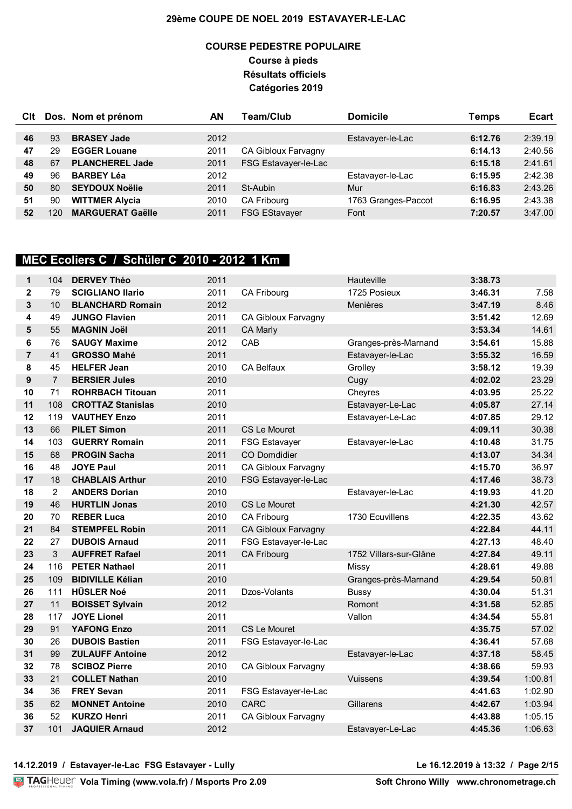## **COURSE PEDESTRE POPULAIRE Course à pieds Résultats officiels Catégories 2019**

| Clt |     | Dos. Nom et prénom      | ΑN   | <b>Team/Club</b>           | <b>Domicile</b>     | <b>Temps</b> | <b>Ecart</b> |
|-----|-----|-------------------------|------|----------------------------|---------------------|--------------|--------------|
|     |     |                         |      |                            |                     |              |              |
| 46  | 93  | <b>BRASEY Jade</b>      | 2012 |                            | Estavayer-le-Lac    | 6:12.76      | 2:39.19      |
| 47  | 29  | <b>EGGER Louane</b>     | 2011 | <b>CA Gibloux Farvagny</b> |                     | 6:14.13      | 2:40.56      |
| 48  | 67  | <b>PLANCHEREL Jade</b>  | 2011 | FSG Estavayer-le-Lac       |                     | 6:15.18      | 2:41.61      |
| 49  | 96  | <b>BARBEY Léa</b>       | 2012 |                            | Estavayer-le-Lac    | 6:15.95      | 2:42.38      |
| 50  | 80  | <b>SEYDOUX Noëlie</b>   | 2011 | St-Aubin                   | Mur                 | 6:16.83      | 2:43.26      |
| 51  | 90  | <b>WITTMER Alycia</b>   | 2010 | <b>CA Fribourg</b>         | 1763 Granges-Paccot | 6:16.95      | 2:43.38      |
| 52  | 120 | <b>MARGUERAT Gaëlle</b> | 2011 | <b>FSG EStavayer</b>       | Font                | 7:20.57      | 3:47.00      |

# **MEC Ecoliers C / Schüler C 2010 - 2012 1 Km**

| $\mathbf 1$    | 104            | <b>DERVEY Théo</b>       | 2011 |                            | Hauteville             | 3:38.73 |         |
|----------------|----------------|--------------------------|------|----------------------------|------------------------|---------|---------|
| $\mathbf{2}$   | 79             | <b>SCIGLIANO Ilario</b>  | 2011 | CA Fribourg                | 1725 Posieux           | 3:46.31 | 7.58    |
| 3              | 10             | <b>BLANCHARD Romain</b>  | 2012 |                            | Menières               | 3:47.19 | 8.46    |
| 4              | 49             | <b>JUNGO Flavien</b>     | 2011 | CA Gibloux Farvagny        |                        | 3:51.42 | 12.69   |
| 5              | 55             | <b>MAGNIN Joël</b>       | 2011 | CA Marly                   |                        | 3:53.34 | 14.61   |
| 6              | 76             | <b>SAUGY Maxime</b>      | 2012 | CAB                        | Granges-près-Marnand   | 3:54.61 | 15.88   |
| $\overline{7}$ | 41             | <b>GROSSO Mahé</b>       | 2011 |                            | Estavayer-le-Lac       | 3:55.32 | 16.59   |
| 8              | 45             | <b>HELFER Jean</b>       | 2010 | <b>CA Belfaux</b>          | Grolley                | 3:58.12 | 19.39   |
| 9              | $\overline{7}$ | <b>BERSIER Jules</b>     | 2010 |                            | Cugy                   | 4:02.02 | 23.29   |
| 10             | 71             | <b>ROHRBACH Titouan</b>  | 2011 |                            | Cheyres                | 4:03.95 | 25.22   |
| 11             | 108            | <b>CROTTAZ Stanislas</b> | 2010 |                            | Estavayer-Le-Lac       | 4:05.87 | 27.14   |
| 12             | 119            | <b>VAUTHEY Enzo</b>      | 2011 |                            | Estavayer-Le-Lac       | 4:07.85 | 29.12   |
| 13             | 66             | <b>PILET Simon</b>       | 2011 | <b>CS Le Mouret</b>        |                        | 4:09.11 | 30.38   |
| 14             | 103            | <b>GUERRY Romain</b>     | 2011 | <b>FSG Estavayer</b>       | Estavayer-le-Lac       | 4:10.48 | 31.75   |
| 15             | 68             | <b>PROGIN Sacha</b>      | 2011 | <b>CO Domdidier</b>        |                        | 4:13.07 | 34.34   |
| 16             | 48             | <b>JOYE Paul</b>         | 2011 | CA Gibloux Farvagny        |                        | 4:15.70 | 36.97   |
| 17             | 18             | <b>CHABLAIS Arthur</b>   | 2010 | FSG Estavayer-le-Lac       |                        | 4:17.46 | 38.73   |
| 18             | $\overline{2}$ | <b>ANDERS Dorian</b>     | 2010 |                            | Estavayer-le-Lac       | 4:19.93 | 41.20   |
| 19             | 46             | <b>HURTLIN Jonas</b>     | 2010 | <b>CS Le Mouret</b>        |                        | 4:21.30 | 42.57   |
| 20             | 70             | <b>REBER Luca</b>        | 2010 | CA Fribourg                | 1730 Ecuvillens        | 4:22.35 | 43.62   |
| 21             | 84             | <b>STEMPFEL Robin</b>    | 2011 | CA Gibloux Farvagny        |                        | 4:22.84 | 44.11   |
| 22             | 27             | <b>DUBOIS Arnaud</b>     | 2011 | FSG Estavayer-le-Lac       |                        | 4:27.13 | 48.40   |
| 23             | 3              | <b>AUFFRET Rafael</b>    | 2011 | <b>CA Fribourg</b>         | 1752 Villars-sur-Glâne | 4:27.84 | 49.11   |
| 24             | 116            | <b>PETER Nathael</b>     | 2011 |                            | Missy                  | 4:28.61 | 49.88   |
| 25             | 109            | <b>BIDIVILLE Kélian</b>  | 2010 |                            | Granges-près-Marnand   | 4:29.54 | 50.81   |
| 26             | 111            | <b>HÜSLER Noé</b>        | 2011 | Dzos-Volants               | Bussy                  | 4:30.04 | 51.31   |
| 27             | 11             | <b>BOISSET Sylvain</b>   | 2012 |                            | Romont                 | 4:31.58 | 52.85   |
| 28             | 117            | <b>JOYE Lionel</b>       | 2011 |                            | Vallon                 | 4:34.54 | 55.81   |
| 29             | 91             | <b>YAFONG Enzo</b>       | 2011 | <b>CS Le Mouret</b>        |                        | 4:35.75 | 57.02   |
| 30             | 26             | <b>DUBOIS Bastien</b>    | 2011 | FSG Estavayer-le-Lac       |                        | 4:36.41 | 57.68   |
| 31             | 99             | <b>ZULAUFF Antoine</b>   | 2012 |                            | Estavayer-le-Lac       | 4:37.18 | 58.45   |
| 32             | 78             | <b>SCIBOZ Pierre</b>     | 2010 | CA Gibloux Farvagny        |                        | 4:38.66 | 59.93   |
| 33             | 21             | <b>COLLET Nathan</b>     | 2010 |                            | Vuissens               | 4:39.54 | 1:00.81 |
| 34             | 36             | <b>FREY Sevan</b>        | 2011 | FSG Estavayer-le-Lac       |                        | 4:41.63 | 1:02.90 |
| 35             | 62             | <b>MONNET Antoine</b>    | 2010 | <b>CARC</b>                | Gillarens              | 4:42.67 | 1:03.94 |
| 36             | 52             | <b>KURZO Henri</b>       | 2011 | <b>CA Gibloux Farvagny</b> |                        | 4:43.88 | 1:05.15 |
| 37             | 101            | <b>JAQUIER Arnaud</b>    | 2012 |                            | Estavayer-Le-Lac       | 4:45.36 | 1:06.63 |

**14.12.2019 / Estavayer-le-Lac FSG Estavayer - Lully Le 16.12.2019 à 13:32 / Page 2/15**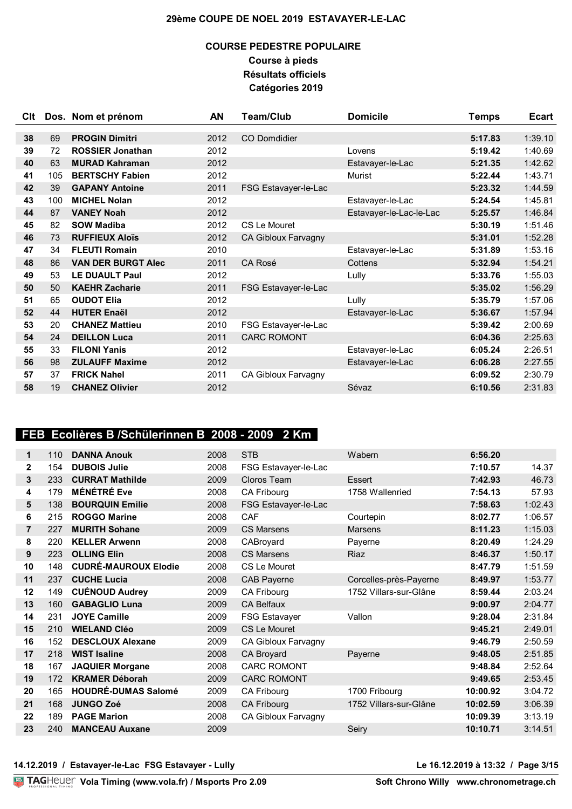## **COURSE PEDESTRE POPULAIRE Course à pieds Résultats officiels Catégories 2019**

| Clt |     | Dos. Nom et prénom        | AN   | <b>Team/Club</b>     | <b>Domicile</b>         | <b>Temps</b> | <b>Ecart</b> |
|-----|-----|---------------------------|------|----------------------|-------------------------|--------------|--------------|
|     |     |                           |      |                      |                         |              |              |
| 38  | 69  | <b>PROGIN Dimitri</b>     | 2012 | <b>CO Domdidier</b>  |                         | 5:17.83      | 1:39.10      |
| 39  | 72  | <b>ROSSIER Jonathan</b>   | 2012 |                      | Lovens                  | 5:19.42      | 1:40.69      |
| 40  | 63  | <b>MURAD Kahraman</b>     | 2012 |                      | Estavayer-le-Lac        | 5:21.35      | 1:42.62      |
| 41  | 105 | <b>BERTSCHY Fabien</b>    | 2012 |                      | Murist                  | 5:22.44      | 1:43.71      |
| 42  | 39  | <b>GAPANY Antoine</b>     | 2011 | FSG Estavayer-le-Lac |                         | 5:23.32      | 1:44.59      |
| 43  | 100 | <b>MICHEL Nolan</b>       | 2012 |                      | Estavayer-le-Lac        | 5:24.54      | 1:45.81      |
| 44  | 87  | <b>VANEY Noah</b>         | 2012 |                      | Estavayer-le-Lac-le-Lac | 5:25.57      | 1:46.84      |
| 45  | 82  | <b>SOW Madiba</b>         | 2012 | CS Le Mouret         |                         | 5:30.19      | 1:51.46      |
| 46  | 73  | <b>RUFFIEUX Aloïs</b>     | 2012 | CA Gibloux Farvagny  |                         | 5:31.01      | 1:52.28      |
| 47  | 34  | <b>FLEUTI Romain</b>      | 2010 |                      | Estavayer-le-Lac        | 5:31.89      | 1:53.16      |
| 48  | 86  | <b>VAN DER BURGT Alec</b> | 2011 | CA Rosé              | Cottens                 | 5:32.94      | 1:54.21      |
| 49  | 53  | <b>LE DUAULT Paul</b>     | 2012 |                      | Lully                   | 5:33.76      | 1:55.03      |
| 50  | 50  | <b>KAEHR Zacharie</b>     | 2011 | FSG Estavayer-le-Lac |                         | 5:35.02      | 1:56.29      |
| 51  | 65  | <b>OUDOT Elia</b>         | 2012 |                      | Lully                   | 5:35.79      | 1:57.06      |
| 52  | 44  | <b>HUTER Enaël</b>        | 2012 |                      | Estavayer-le-Lac        | 5:36.67      | 1:57.94      |
| 53  | 20  | <b>CHANEZ Mattieu</b>     | 2010 | FSG Estavayer-le-Lac |                         | 5:39.42      | 2:00.69      |
| 54  | 24  | <b>DEILLON Luca</b>       | 2011 | <b>CARC ROMONT</b>   |                         | 6:04.36      | 2:25.63      |
| 55  | 33  | <b>FILONI Yanis</b>       | 2012 |                      | Estavayer-le-Lac        | 6:05.24      | 2:26.51      |
| 56  | 98  | <b>ZULAUFF Maxime</b>     | 2012 |                      | Estavayer-le-Lac        | 6:06.28      | 2:27.55      |
| 57  | 37  | <b>FRICK Nahel</b>        | 2011 | CA Gibloux Farvagny  |                         | 6:09.52      | 2:30.79      |
| 58  | 19  | <b>CHANEZ Olivier</b>     | 2012 |                      | Sévaz                   | 6:10.56      | 2:31.83      |

# **FEB Ecolières B /Schülerinnen B 2008 - 2009 2 Km**

| 1  | 110 | <b>DANNA Anouk</b>          | 2008 | <b>STB</b>           | Wabern                 | 6:56.20  |         |
|----|-----|-----------------------------|------|----------------------|------------------------|----------|---------|
| 2  | 154 | <b>DUBOIS Julie</b>         | 2008 | FSG Estavayer-le-Lac |                        | 7:10.57  | 14.37   |
| 3  | 233 | <b>CURRAT Mathilde</b>      | 2009 | Cloros Team          | <b>Essert</b>          | 7:42.93  | 46.73   |
| 4  | 179 | <b>MÉNÉTRÉ Eve</b>          | 2008 | CA Fribourg          | 1758 Wallenried        | 7:54.13  | 57.93   |
| 5  | 138 | <b>BOURQUIN Emilie</b>      | 2008 | FSG Estavayer-le-Lac |                        | 7:58.63  | 1:02.43 |
| 6  | 215 | <b>ROGGO Marine</b>         | 2008 | CAF                  | Courtepin              | 8:02.77  | 1:06.57 |
| 7  | 227 | <b>MURITH Sohane</b>        | 2009 | <b>CS Marsens</b>    | <b>Marsens</b>         | 8:11.23  | 1:15.03 |
| 8  | 220 | <b>KELLER Arwenn</b>        | 2008 | CABroyard            | Payerne                | 8:20.49  | 1:24.29 |
| 9  | 223 | <b>OLLING Elin</b>          | 2008 | <b>CS Marsens</b>    | Riaz                   | 8:46.37  | 1:50.17 |
| 10 | 148 | <b>CUDRÉ-MAUROUX Elodie</b> | 2008 | CS Le Mouret         |                        | 8:47.79  | 1:51.59 |
| 11 | 237 | <b>CUCHE Lucia</b>          | 2008 | <b>CAB Payerne</b>   | Corcelles-près-Payerne | 8:49.97  | 1:53.77 |
| 12 | 149 | <b>CUÉNOUD Audrey</b>       | 2009 | CA Fribourg          | 1752 Villars-sur-Glâne | 8:59.44  | 2:03.24 |
| 13 | 160 | <b>GABAGLIO Luna</b>        | 2009 | <b>CA Belfaux</b>    |                        | 9:00.97  | 2:04.77 |
| 14 | 231 | <b>JOYE Camille</b>         | 2009 | <b>FSG Estavayer</b> | Vallon                 | 9:28.04  | 2:31.84 |
| 15 | 210 | <b>WIELAND Cléo</b>         | 2009 | CS Le Mouret         |                        | 9:45.21  | 2:49.01 |
| 16 | 152 | <b>DESCLOUX Alexane</b>     | 2009 | CA Gibloux Farvagny  |                        | 9:46.79  | 2:50.59 |
| 17 | 218 | <b>WIST Isaline</b>         | 2008 | CA Broyard           | Payerne                | 9:48.05  | 2:51.85 |
| 18 | 167 | <b>JAQUIER Morgane</b>      | 2008 | <b>CARC ROMONT</b>   |                        | 9:48.84  | 2:52.64 |
| 19 | 172 | <b>KRAMER Déborah</b>       | 2009 | <b>CARC ROMONT</b>   |                        | 9:49.65  | 2:53.45 |
| 20 | 165 | <b>HOUDRÉ-DUMAS Salomé</b>  | 2009 | CA Fribourg          | 1700 Fribourg          | 10:00.92 | 3:04.72 |
| 21 | 168 | <b>JUNGO Zoé</b>            | 2008 | <b>CA Fribourg</b>   | 1752 Villars-sur-Glâne | 10:02.59 | 3:06.39 |
| 22 | 189 | <b>PAGE Marion</b>          | 2008 | CA Gibloux Farvagny  |                        | 10:09.39 | 3:13.19 |
| 23 | 240 | <b>MANCEAU Auxane</b>       | 2009 |                      | Seiry                  | 10:10.71 | 3:14.51 |

**14.12.2019 / Estavayer-le-Lac FSG Estavayer - Lully Le 16.12.2019 à 13:32 / Page 3/15**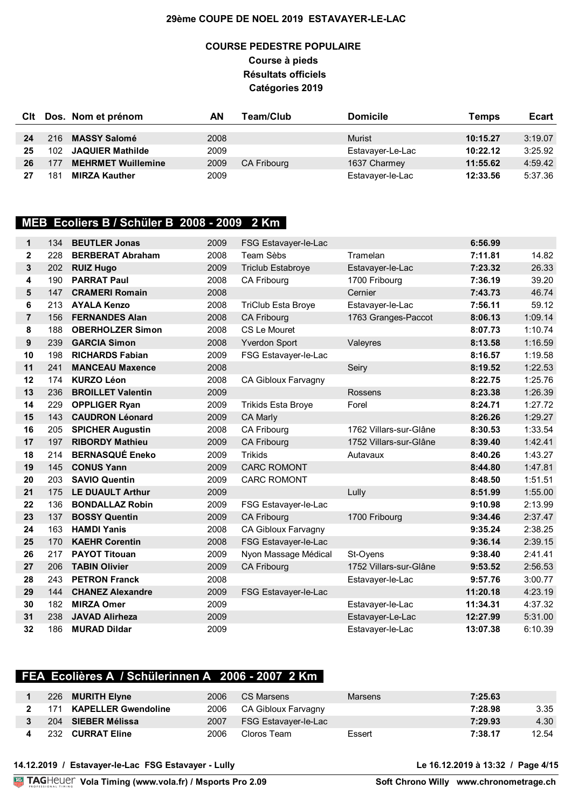## **COURSE PEDESTRE POPULAIRE Course à pieds Résultats officiels Catégories 2019**

| Clt |     | Dos. Nom et prénom        | ΑN   | Team/Club          | <b>Domicile</b>  | Temps    | <b>Ecart</b> |
|-----|-----|---------------------------|------|--------------------|------------------|----------|--------------|
|     |     |                           |      |                    |                  |          |              |
| 24  | 216 | <b>MASSY Salomé</b>       | 2008 |                    | <b>Murist</b>    | 10:15.27 | 3:19.07      |
| 25  | 102 | <b>JAQUIER Mathilde</b>   | 2009 |                    | Estavayer-Le-Lac | 10:22.12 | 3:25.92      |
| 26  | 177 | <b>MEHRMET Wuillemine</b> | 2009 | <b>CA Fribourg</b> | 1637 Charmey     | 11:55.62 | 4:59.42      |
| 27  | 181 | <b>MIRZA Kauther</b>      | 2009 |                    | Estavayer-le-Lac | 12:33.56 | 5:37.36      |

### **MEB Ecoliers B / Schüler B 2008 - 2009 2 Km**

| 1              | 134 | <b>BEUTLER Jonas</b>     | 2009 | FSG Estavayer-le-Lac       |                        | 6:56.99  |         |
|----------------|-----|--------------------------|------|----------------------------|------------------------|----------|---------|
| $\mathbf{2}$   | 228 | <b>BERBERAT Abraham</b>  | 2008 | Team Sèbs                  | Tramelan               | 7:11.81  | 14.82   |
| 3              | 202 | <b>RUIZ Hugo</b>         | 2009 | <b>Triclub Estabroye</b>   | Estavayer-le-Lac       | 7:23.32  | 26.33   |
| 4              | 190 | <b>PARRAT Paul</b>       | 2008 | CA Fribourg                | 1700 Fribourg          | 7:36.19  | 39.20   |
| 5              | 147 | <b>CRAMERI Romain</b>    | 2008 |                            | Cernier                | 7:43.73  | 46.74   |
| 6              | 213 | <b>AYALA Kenzo</b>       | 2008 | <b>TriClub Esta Broye</b>  | Estavayer-le-Lac       | 7:56.11  | 59.12   |
| $\overline{7}$ | 156 | <b>FERNANDES Alan</b>    | 2008 | <b>CA Fribourg</b>         | 1763 Granges-Paccot    | 8:06.13  | 1:09.14 |
| 8              | 188 | <b>OBERHOLZER Simon</b>  | 2008 | CS Le Mouret               |                        | 8:07.73  | 1:10.74 |
| 9              | 239 | <b>GARCIA Simon</b>      | 2008 | <b>Yverdon Sport</b>       | Valeyres               | 8:13.58  | 1:16.59 |
| 10             | 198 | <b>RICHARDS Fabian</b>   | 2009 | FSG Estavayer-le-Lac       |                        | 8:16.57  | 1:19.58 |
| 11             | 241 | <b>MANCEAU Maxence</b>   | 2008 |                            | Seiry                  | 8:19.52  | 1:22.53 |
| 12             | 174 | <b>KURZO Léon</b>        | 2008 | CA Gibloux Farvagny        |                        | 8:22.75  | 1:25.76 |
| 13             | 236 | <b>BROILLET Valentin</b> | 2009 |                            | Rossens                | 8:23.38  | 1:26.39 |
| 14             | 229 | <b>OPPLIGER Ryan</b>     | 2009 | <b>Trikids Esta Broye</b>  | Forel                  | 8:24.71  | 1:27.72 |
| 15             | 143 | <b>CAUDRON Léonard</b>   | 2009 | <b>CA Marly</b>            |                        | 8:26.26  | 1:29.27 |
| 16             | 205 | <b>SPICHER Augustin</b>  | 2008 | CA Fribourg                | 1762 Villars-sur-Glâne | 8:30.53  | 1:33.54 |
| 17             | 197 | <b>RIBORDY Mathieu</b>   | 2009 | <b>CA Fribourg</b>         | 1752 Villars-sur-Glâne | 8:39.40  | 1:42.41 |
| 18             | 214 | <b>BERNASQUÉ Eneko</b>   | 2009 | <b>Trikids</b>             | Autavaux               | 8:40.26  | 1:43.27 |
| 19             | 145 | <b>CONUS Yann</b>        | 2009 | <b>CARC ROMONT</b>         |                        | 8:44.80  | 1:47.81 |
| 20             | 203 | <b>SAVIO Quentin</b>     | 2009 | <b>CARC ROMONT</b>         |                        | 8:48.50  | 1:51.51 |
| 21             | 175 | <b>LE DUAULT Arthur</b>  | 2009 |                            | Lully                  | 8:51.99  | 1:55.00 |
| 22             | 136 | <b>BONDALLAZ Robin</b>   | 2009 | FSG Estavayer-le-Lac       |                        | 9:10.98  | 2:13.99 |
| 23             | 137 | <b>BOSSY Quentin</b>     | 2009 | <b>CA Fribourg</b>         | 1700 Fribourg          | 9:34.46  | 2:37.47 |
| 24             | 163 | <b>HAMDI Yanis</b>       | 2008 | <b>CA Gibloux Farvagny</b> |                        | 9:35.24  | 2:38.25 |
| 25             | 170 | <b>KAEHR Corentin</b>    | 2008 | FSG Estavayer-le-Lac       |                        | 9:36.14  | 2:39.15 |
| 26             | 217 | <b>PAYOT Titouan</b>     | 2009 | Nyon Massage Médical       | St-Oyens               | 9:38.40  | 2:41.41 |
| 27             | 206 | <b>TABIN Olivier</b>     | 2009 | <b>CA Fribourg</b>         | 1752 Villars-sur-Glâne | 9:53.52  | 2:56.53 |
| 28             | 243 | <b>PETRON Franck</b>     | 2008 |                            | Estavayer-le-Lac       | 9:57.76  | 3:00.77 |
| 29             | 144 | <b>CHANEZ Alexandre</b>  | 2009 | FSG Estavayer-le-Lac       |                        | 11:20.18 | 4:23.19 |
| 30             | 182 | <b>MIRZA Omer</b>        | 2009 |                            | Estavayer-le-Lac       | 11:34.31 | 4:37.32 |
| 31             | 238 | <b>JAVAD Alirheza</b>    | 2009 |                            | Estavayer-Le-Lac       | 12:27.99 | 5:31.00 |
| 32             | 186 | <b>MURAD Dildar</b>      | 2009 |                            | Estavayer-le-Lac       | 13:07.38 | 6:10.39 |

## **FEA Ecolières A / Schülerinnen A 2006 - 2007 2 Km**

|      | 226 MURITH Elyne           | 2006 | CS Marsens           | Marsens | 7:25.63 |       |
|------|----------------------------|------|----------------------|---------|---------|-------|
| 171  | <b>KAPELLER Gwendoline</b> | 2006 | CA Gibloux Farvagny  |         | 7:28.98 | 3.35  |
|      | 204 SIEBER Mélissa         | 2007 | FSG Estavayer-le-Lac |         | 7:29.93 | 4.30  |
| 232. | <b>CURRAT Eline</b>        | 2006 | Cloros Team          | Essert  | 7:38.17 | 12.54 |

**14.12.2019 / Estavayer-le-Lac FSG Estavayer - Lully Le 16.12.2019 à 13:32 / Page 4/15**

**Vola Timing (www.vola.fr) / Msports Pro 2.09**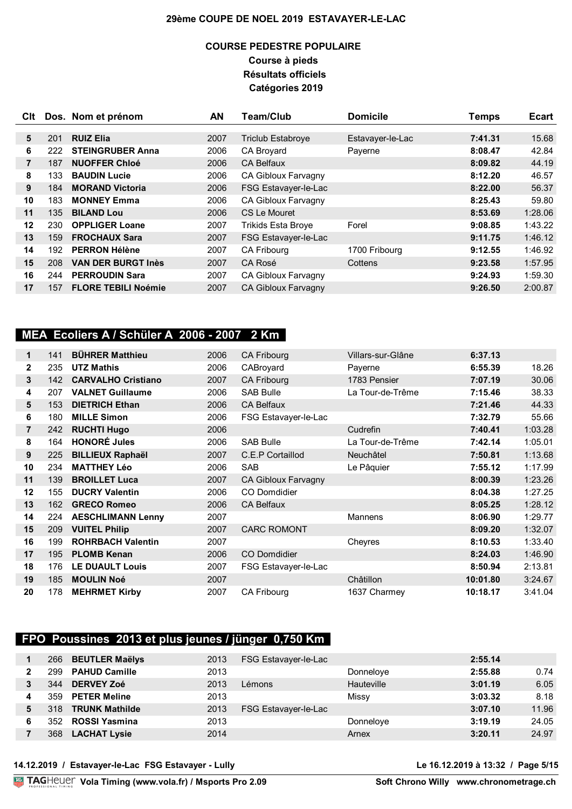## **COURSE PEDESTRE POPULAIRE Course à pieds Résultats officiels Catégories 2019**

| Clt |     | Dos. Nom et prénom         | AN   | <b>Team/Club</b>           | <b>Domicile</b>  | Temps   | <b>Ecart</b> |
|-----|-----|----------------------------|------|----------------------------|------------------|---------|--------------|
|     |     |                            |      |                            |                  |         |              |
| 5   | 201 | <b>RUIZ Elia</b>           | 2007 | <b>Triclub Estabroye</b>   | Estavayer-le-Lac | 7:41.31 | 15.68        |
| 6   | 222 | <b>STEINGRUBER Anna</b>    | 2006 | CA Broyard                 | Payerne          | 8:08.47 | 42.84        |
| 7   | 187 | <b>NUOFFER Chloé</b>       | 2006 | <b>CA Belfaux</b>          |                  | 8:09.82 | 44.19        |
| 8   | 133 | <b>BAUDIN Lucie</b>        | 2006 | CA Gibloux Farvagny        |                  | 8:12.20 | 46.57        |
| 9   | 184 | <b>MORAND Victoria</b>     | 2006 | FSG Estavayer-le-Lac       |                  | 8:22.00 | 56.37        |
| 10  | 183 | <b>MONNEY Emma</b>         | 2006 | <b>CA Gibloux Farvagny</b> |                  | 8:25.43 | 59.80        |
| 11  | 135 | <b>BILAND Lou</b>          | 2006 | CS Le Mouret               |                  | 8:53.69 | 1:28.06      |
| 12  | 230 | <b>OPPLIGER Loane</b>      | 2007 | <b>Trikids Esta Broye</b>  | Forel            | 9:08.85 | 1:43.22      |
| 13  | 159 | <b>FROCHAUX Sara</b>       | 2007 | FSG Estavayer-le-Lac       |                  | 9:11.75 | 1:46.12      |
| 14  | 192 | <b>PERRON Hélène</b>       | 2007 | <b>CA Fribourg</b>         | 1700 Fribourg    | 9:12.55 | 1:46.92      |
| 15  | 208 | <b>VAN DER BURGT Inès</b>  | 2007 | CA Rosé                    | Cottens          | 9:23.58 | 1:57.95      |
| 16  | 244 | <b>PERROUDIN Sara</b>      | 2007 | CA Gibloux Farvagny        |                  | 9:24.93 | 1:59.30      |
| 17  | 157 | <b>FLORE TEBILI Noémie</b> | 2007 | <b>CA Gibloux Farvagny</b> |                  | 9:26.50 | 2:00.87      |

# **MEA Ecoliers A / Schüler A 2006 - 2007 2 Km**

| 1              | 141 | <b>BÜHRER Matthieu</b>    | 2006 | <b>CA Fribourg</b>   | Villars-sur-Glâne | 6:37.13  |         |
|----------------|-----|---------------------------|------|----------------------|-------------------|----------|---------|
| $\mathbf{2}$   | 235 | <b>UTZ Mathis</b>         | 2006 | CABroyard            | Payerne           | 6:55.39  | 18.26   |
| 3              | 142 | <b>CARVALHO Cristiano</b> | 2007 | <b>CA Fribourg</b>   | 1783 Pensier      | 7:07.19  | 30.06   |
| 4              | 207 | <b>VALNET Guillaume</b>   | 2006 | <b>SAB Bulle</b>     | La Tour-de-Trême  | 7:15.46  | 38.33   |
| 5              | 153 | <b>DIETRICH Ethan</b>     | 2006 | <b>CA Belfaux</b>    |                   | 7:21.46  | 44.33   |
| 6              | 180 | <b>MILLE Simon</b>        | 2006 | FSG Estavayer-le-Lac |                   | 7:32.79  | 55.66   |
| $\overline{7}$ | 242 | <b>RUCHTI Hugo</b>        | 2006 |                      | Cudrefin          | 7:40.41  | 1:03.28 |
| 8              | 164 | <b>HONORÉ Jules</b>       | 2006 | <b>SAB Bulle</b>     | La Tour-de-Trême  | 7:42.14  | 1:05.01 |
| 9              | 225 | <b>BILLIEUX Raphaël</b>   | 2007 | C.E.P Cortaillod     | Neuchâtel         | 7:50.81  | 1:13.68 |
| 10             | 234 | <b>MATTHEY Léo</b>        | 2006 | <b>SAB</b>           | Le Pâquier        | 7:55.12  | 1:17.99 |
| 11             | 139 | <b>BROILLET Luca</b>      | 2007 | CA Gibloux Farvagny  |                   | 8:00.39  | 1:23.26 |
| 12             | 155 | <b>DUCRY Valentin</b>     | 2006 | CO Domdidier         |                   | 8:04.38  | 1:27.25 |
| 13             | 162 | <b>GRECO Romeo</b>        | 2006 | <b>CA Belfaux</b>    |                   | 8:05.25  | 1:28.12 |
| 14             | 224 | <b>AESCHLIMANN Lenny</b>  | 2007 |                      | <b>Mannens</b>    | 8:06.90  | 1:29.77 |
| 15             | 209 | <b>VUITEL Philip</b>      | 2007 | <b>CARC ROMONT</b>   |                   | 8:09.20  | 1:32.07 |
| 16             | 199 | <b>ROHRBACH Valentin</b>  | 2007 |                      | Cheyres           | 8:10.53  | 1:33.40 |
| 17             | 195 | <b>PLOMB Kenan</b>        | 2006 | CO Domdidier         |                   | 8:24.03  | 1:46.90 |
| 18             | 176 | <b>LE DUAULT Louis</b>    | 2007 | FSG Estavayer-le-Lac |                   | 8:50.94  | 2:13.81 |
| 19             | 185 | <b>MOULIN Noé</b>         | 2007 |                      | Châtillon         | 10:01.80 | 3:24.67 |
| 20             | 178 | <b>MEHRMET Kirby</b>      | 2007 | <b>CA Fribourg</b>   | 1637 Charmey      | 10:18.17 | 3:41.04 |

# **FPO Poussines 2013 et plus jeunes / jünger 0,750 Km**

|   |      | 266 BEUTLER Maëlys    | 2013 | FSG Estavayer-le-Lac |            | 2:55.14 |       |
|---|------|-----------------------|------|----------------------|------------|---------|-------|
|   | 299  | <b>PAHUD Camille</b>  | 2013 |                      | Donneloye  | 2:55.88 | 0.74  |
|   | 344  | <b>DERVEY Zoé</b>     | 2013 | Lémons               | Hauteville | 3:01.19 | 6.05  |
| 4 | 359  | <b>PETER Meline</b>   | 2013 |                      | Missy      | 3:03.32 | 8.18  |
| 5 | 318. | <b>TRUNK Mathilde</b> | 2013 | FSG Estavayer-le-Lac |            | 3:07.10 | 11.96 |
| 6 | 352  | ROSSI Yasmina         | 2013 |                      | Donneloye  | 3:19.19 | 24.05 |
|   | 368  | <b>LACHAT Lysie</b>   | 2014 |                      | Arnex      | 3:20.11 | 24.97 |

### **14.12.2019 / Estavayer-le-Lac FSG Estavayer - Lully Le 16.12.2019 à 13:32 / Page 5/15**

**Vola Timing (www.vola.fr) / Msports Pro 2.09**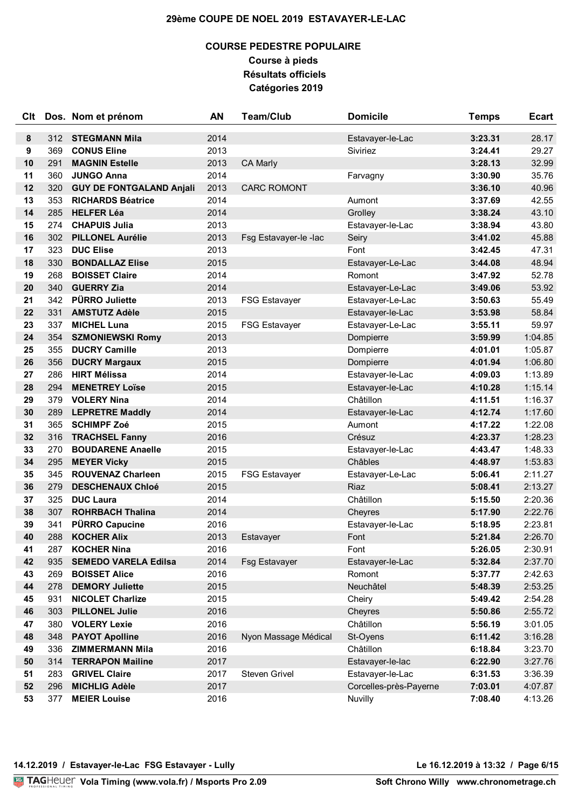## **COURSE PEDESTRE POPULAIRE Course à pieds Résultats officiels Catégories 2019**

| Clt      |            | Dos. Nom et prénom                              | AN           | <b>Team/Club</b>     | <b>Domicile</b>        | <b>Temps</b>       | <b>Ecart</b>       |
|----------|------------|-------------------------------------------------|--------------|----------------------|------------------------|--------------------|--------------------|
| 8        |            | 312 STEGMANN Mila                               | 2014         |                      | Estavayer-le-Lac       | 3:23.31            | 28.17              |
| 9        | 369        | <b>CONUS Eline</b>                              | 2013         |                      | Siviriez               | 3:24.41            | 29.27              |
| 10       | 291        | <b>MAGNIN Estelle</b>                           | 2013         | <b>CA Marly</b>      |                        | 3:28.13            | 32.99              |
| 11       | 360        | <b>JUNGO Anna</b>                               | 2014         |                      | Farvagny               | 3:30.90            | 35.76              |
| 12       | 320        | <b>GUY DE FONTGALAND Anjali</b>                 | 2013         | <b>CARC ROMONT</b>   |                        | 3:36.10            | 40.96              |
| 13       | 353        | <b>RICHARDS Béatrice</b>                        | 2014         |                      | Aumont                 | 3:37.69            | 42.55              |
| 14       | 285        | <b>HELFER Léa</b>                               | 2014         |                      | Grolley                | 3:38.24            | 43.10              |
| 15       | 274        | <b>CHAPUIS Julia</b>                            | 2013         |                      | Estavayer-le-Lac       | 3:38.94            | 43.80              |
| 16       | 302        | <b>PILLONEL Aurélie</b>                         | 2013         | Fsg Estavayer-le-lac | Seiry                  | 3:41.02            | 45.88              |
| 17       | 323        | <b>DUC Elise</b>                                | 2013         |                      | Font                   | 3:42.45            | 47.31              |
| 18       | 330        | <b>BONDALLAZ Elise</b>                          | 2015         |                      | Estavayer-Le-Lac       | 3:44.08            | 48.94              |
| 19       | 268        | <b>BOISSET Claire</b>                           | 2014         |                      | Romont                 | 3:47.92            | 52.78              |
| 20       | 340        | <b>GUERRY Zia</b>                               | 2014         |                      | Estavayer-Le-Lac       | 3:49.06            | 53.92              |
| 21       | 342        | <b>PÜRRO Juliette</b>                           | 2013         | <b>FSG Estavayer</b> | Estavayer-Le-Lac       | 3:50.63            | 55.49              |
| 22       | 331        | <b>AMSTUTZ Adèle</b>                            | 2015         |                      | Estavayer-le-Lac       | 3:53.98            | 58.84              |
| 23       | 337        | <b>MICHEL Luna</b>                              | 2015         | <b>FSG Estavayer</b> | Estavayer-Le-Lac       | 3:55.11            | 59.97              |
| 24       | 354        | <b>SZMONIEWSKI Romy</b>                         | 2013         |                      | Dompierre              | 3:59.99            | 1:04.85            |
| 25       | 355        | <b>DUCRY Camille</b>                            | 2013         |                      | Dompierre              | 4:01.01            | 1:05.87            |
| 26       | 356        | <b>DUCRY Margaux</b>                            | 2015         |                      | Dompierre              | 4:01.94            | 1:06.80            |
| 27       | 286        | <b>HIRT Mélissa</b>                             | 2014         |                      | Estavayer-le-Lac       | 4:09.03            | 1:13.89            |
| 28       | 294        | <b>MENETREY Loïse</b>                           | 2015         |                      | Estavayer-le-Lac       | 4:10.28            | 1:15.14            |
| 29       | 379        | <b>VOLERY Nina</b>                              | 2014         |                      | Châtillon              | 4:11.51            | 1:16.37            |
| 30       | 289        | <b>LEPRETRE Maddly</b>                          | 2014         |                      | Estavayer-le-Lac       | 4:12.74            | 1:17.60            |
| 31       | 365        | <b>SCHIMPF Zoé</b>                              | 2015         |                      | Aumont                 | 4:17.22            | 1:22.08            |
| 32       | 316        | <b>TRACHSEL Fanny</b>                           | 2016         |                      | Crésuz                 | 4:23.37            | 1:28.23            |
| 33       | 270        | <b>BOUDARENE Anaelle</b>                        | 2015         |                      | Estavayer-le-Lac       | 4:43.47            | 1:48.33            |
| 34       | 295        | <b>MEYER Vicky</b>                              | 2015         |                      | <b>Châbles</b>         | 4:48.97            | 1:53.83            |
| 35       | 345        | <b>ROUVENAZ Charleen</b>                        | 2015         | <b>FSG Estavayer</b> | Estavayer-Le-Lac       | 5:06.41            | 2:11.27            |
| 36       | 279        | <b>DESCHENAUX Chloé</b>                         | 2015         |                      | <b>Riaz</b>            | 5:08.41            | 2:13.27            |
| 37       | 325        | <b>DUC Laura</b>                                | 2014         |                      | Châtillon              | 5:15.50            | 2:20.36            |
| 38       | 307        | <b>ROHRBACH Thalina</b>                         | 2014         |                      | Cheyres                | 5:17.90            | 2:22.76            |
| 39       | 341        | <b>PÜRRO Capucine</b>                           | 2016         |                      | Estavayer-le-Lac       | 5:18.95            | 2:23.81            |
| 40       | 288        | <b>KOCHER Alix</b>                              | 2013         | Estavaver            | Font                   | 5:21.84            | 2:26.70            |
| 41       | 287        | <b>KOCHER Nina</b>                              | 2016         |                      | Font                   | 5:26.05            | 2:30.91            |
| 42       | 935        | <b>SEMEDO VARELA Edilsa</b>                     | 2014         | <b>Fsg Estavayer</b> | Estavayer-le-Lac       | 5:32.84            | 2:37.70            |
| 43       | 269        | <b>BOISSET Alice</b>                            | 2016         |                      | Romont                 | 5:37.77            | 2:42.63            |
| 44       | 278        | <b>DEMORY Juliette</b>                          | 2015         |                      | Neuchâtel              | 5:48.39            | 2:53.25<br>2:54.28 |
| 45       | 931        | <b>NICOLET Charlize</b>                         | 2015         |                      | Cheiry                 | 5:49.42            |                    |
| 46       | 303        | <b>PILLONEL Julie</b><br><b>VOLERY Lexie</b>    | 2016<br>2016 |                      | Cheyres                | 5:50.86            | 2:55.72<br>3:01.05 |
| 47       | 380        |                                                 |              |                      | Châtillon              | 5:56.19            |                    |
| 48<br>49 | 348<br>336 | <b>PAYOT Apolline</b><br><b>ZIMMERMANN Mila</b> | 2016<br>2016 | Nyon Massage Médical | St-Oyens<br>Châtillon  | 6:11.42<br>6:18.84 | 3:16.28<br>3:23.70 |
| 50       | 314        | <b>TERRAPON Mailine</b>                         | 2017         |                      | Estavayer-le-lac       | 6:22.90            | 3:27.76            |
| 51       | 283        | <b>GRIVEL Claire</b>                            | 2017         | Steven Grivel        | Estavayer-le-Lac       | 6:31.53            | 3:36.39            |
| 52       | 296        | <b>MICHLIG Adèle</b>                            | 2017         |                      | Corcelles-près-Payerne | 7:03.01            | 4:07.87            |
| 53       | 377        | <b>MEIER Louise</b>                             | 2016         |                      | <b>Nuvilly</b>         | 7:08.40            | 4:13.26            |
|          |            |                                                 |              |                      |                        |                    |                    |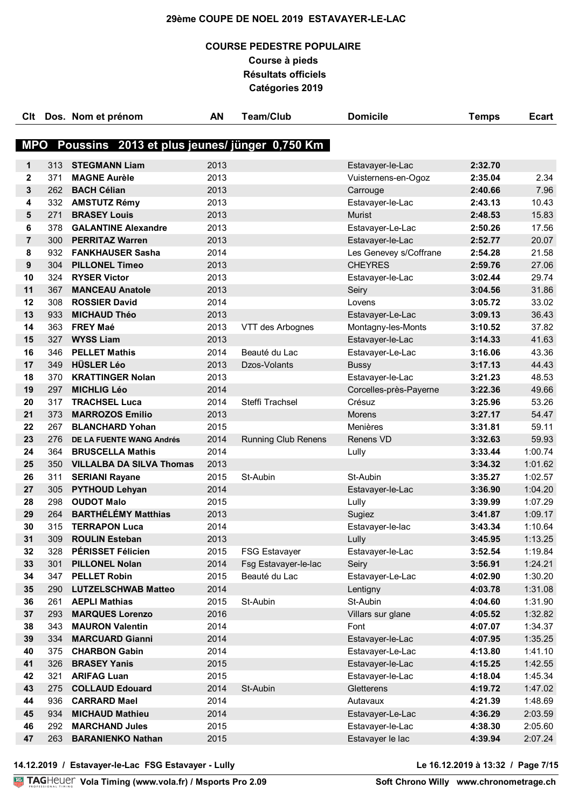## **COURSE PEDESTRE POPULAIRE Course à pieds Résultats officiels Catégories 2019**

| Clt            |            | Dos. Nom et prénom                            | AN           | <b>Team/Club</b>                      | <b>Domicile</b>        | <b>Temps</b>       | <b>Ecart</b>       |
|----------------|------------|-----------------------------------------------|--------------|---------------------------------------|------------------------|--------------------|--------------------|
|                |            |                                               |              |                                       |                        |                    |                    |
| <b>MPO</b>     |            | Poussins 2013 et plus jeunes/ jünger 0,750 Km |              |                                       |                        |                    |                    |
| 1              | 313        | <b>STEGMANN Liam</b>                          | 2013         |                                       | Estavayer-le-Lac       | 2:32.70            |                    |
| $\mathbf{2}$   | 371        | <b>MAGNE Aurèle</b>                           | 2013         |                                       | Vuisternens-en-Ogoz    | 2:35.04            | 2.34               |
| 3              | 262        | <b>BACH Célian</b>                            | 2013         |                                       | Carrouge               | 2:40.66            | 7.96               |
| 4              | 332        | <b>AMSTUTZ Rémy</b>                           | 2013         |                                       | Estavayer-le-Lac       | 2:43.13            | 10.43              |
| 5              | 271        | <b>BRASEY Louis</b>                           | 2013         |                                       | <b>Murist</b>          | 2:48.53            | 15.83              |
| 6              | 378        | <b>GALANTINE Alexandre</b>                    | 2013         |                                       | Estavayer-Le-Lac       | 2:50.26            | 17.56              |
| $\overline{7}$ | 300        | <b>PERRITAZ Warren</b>                        | 2013         |                                       | Estavayer-le-Lac       | 2:52.77            | 20.07              |
| 8              | 932        | <b>FANKHAUSER Sasha</b>                       | 2014         |                                       | Les Genevey s/Coffrane | 2:54.28            | 21.58              |
| 9              | 304        | <b>PILLONEL Timeo</b>                         | 2013         |                                       | <b>CHEYRES</b>         | 2:59.76            | 27.06              |
| 10             | 324        | <b>RYSER Victor</b>                           | 2013         |                                       | Estavayer-le-Lac       | 3:02.44            | 29.74              |
| 11             | 367        | <b>MANCEAU Anatole</b>                        | 2013         |                                       | Seiry                  | 3:04.56            | 31.86              |
| 12             | 308        | <b>ROSSIER David</b>                          | 2014         |                                       | Lovens                 | 3:05.72            | 33.02              |
| 13             | 933        | <b>MICHAUD Théo</b>                           | 2013         |                                       | Estavayer-Le-Lac       | 3:09.13            | 36.43              |
| 14             | 363        | <b>FREY Maé</b>                               | 2013         | VTT des Arbognes                      | Montagny-les-Monts     | 3:10.52            | 37.82              |
| 15             | 327        | <b>WYSS Liam</b>                              | 2013         |                                       | Estavayer-le-Lac       | 3:14.33            | 41.63              |
| 16             | 346        | <b>PELLET Mathis</b>                          | 2014         | Beauté du Lac                         | Estavayer-Le-Lac       | 3:16.06            | 43.36              |
| 17             | 349        | <b>HÜSLER Léo</b>                             | 2013         | Dzos-Volants                          | <b>Bussy</b>           | 3:17.13            | 44.43              |
| 18             | 370        | <b>KRATTINGER Nolan</b>                       | 2013         |                                       | Estavayer-le-Lac       | 3:21.23            | 48.53              |
| 19             | 297        | <b>MICHLIG Léo</b>                            | 2014         |                                       | Corcelles-près-Payerne | 3:22.36            | 49.66              |
| 20             | 317        | <b>TRACHSEL Luca</b>                          | 2014         | Steffi Trachsel                       | Crésuz                 | 3:25.96            | 53.26              |
| 21             | 373        | <b>MARROZOS Emilio</b>                        | 2013         |                                       | <b>Morens</b>          | 3:27.17            | 54.47              |
| 22             | 267        | <b>BLANCHARD Yohan</b>                        | 2015         |                                       | Menières               | 3:31.81            | 59.11              |
| 23             | 276        | DE LA FUENTE WANG Andrés                      | 2014         | <b>Running Club Renens</b>            | Renens VD              | 3:32.63            | 59.93              |
| 24             | 364        | <b>BRUSCELLA Mathis</b>                       | 2014         |                                       | Lully                  | 3:33.44            | 1:00.74            |
| 25             | 350        | <b>VILLALBA DA SILVA Thomas</b>               | 2013         |                                       |                        | 3:34.32            | 1:01.62            |
| 26             | 311        | <b>SERIANI Rayane</b>                         | 2015         | St-Aubin                              | St-Aubin               | 3:35.27            | 1:02.57            |
| 27             | 305        | <b>PYTHOUD Lehyan</b>                         | 2014         |                                       | Estavayer-le-Lac       | 3:36.90            | 1:04.20            |
| 28             | 298        | <b>OUDOT Malo</b>                             | 2015         |                                       | Lully                  | 3:39.99            | 1:07.29            |
| 29             | 264        | <b>BARTHÉLÉMY Matthias</b>                    | 2013         |                                       | Sugiez                 | 3:41.87            | 1:09.17            |
| 30             | 315        | <b>TERRAPON Luca</b>                          | 2014         |                                       | Estavayer-le-lac       | 3:43.34            | 1:10.64            |
| 31             | 309        | <b>ROULIN Esteban</b>                         | 2013         |                                       | Lully                  | 3:45.95            | 1:13.25            |
| 32             | 328        | PÉRISSET Félicien                             | 2015         | <b>FSG Estavayer</b>                  | Estavayer-le-Lac       | 3:52.54            | 1:19.84            |
| 33<br>34       | 301<br>347 | <b>PILLONEL Nolan</b><br><b>PELLET Robin</b>  | 2014<br>2015 | Fsg Estavayer-le-lac<br>Beauté du Lac | Seiry                  | 3:56.91            | 1:24.21            |
| 35             | 290        | <b>LUTZELSCHWAB Matteo</b>                    | 2014         |                                       | Estavayer-Le-Lac       | 4:02.90<br>4:03.78 | 1:30.20<br>1:31.08 |
| 36             | 261        | <b>AEPLI Mathias</b>                          | 2015         | St-Aubin                              | Lentigny<br>St-Aubin   | 4:04.60            | 1:31.90            |
| 37             | 293        | <b>MARQUES Lorenzo</b>                        | 2016         |                                       | Villars sur glane      | 4:05.52            | 1:32.82            |
| 38             | 343        | <b>MAURON Valentin</b>                        | 2014         |                                       | Font                   | 4:07.07            | 1:34.37            |
| 39             | 334        | <b>MARCUARD Gianni</b>                        | 2014         |                                       | Estavayer-le-Lac       | 4:07.95            | 1:35.25            |
| 40             | 375        | <b>CHARBON Gabin</b>                          | 2014         |                                       | Estavayer-Le-Lac       | 4:13.80            | 1:41.10            |
| 41             | 326        | <b>BRASEY Yanis</b>                           | 2015         |                                       | Estavayer-le-Lac       | 4:15.25            | 1:42.55            |
| 42             | 321        | <b>ARIFAG Luan</b>                            | 2015         |                                       | Estavayer-le-Lac       | 4:18.04            | 1:45.34            |
| 43             | 275        | <b>COLLAUD Edouard</b>                        | 2014         | St-Aubin                              | Gletterens             | 4:19.72            | 1:47.02            |
| 44             | 936        | <b>CARRARD Mael</b>                           | 2014         |                                       | Autavaux               | 4:21.39            | 1:48.69            |
| 45             | 934        | <b>MICHAUD Mathieu</b>                        | 2014         |                                       | Estavayer-Le-Lac       | 4:36.29            | 2:03.59            |
| 46             | 292        | <b>MARCHAND Jules</b>                         | 2015         |                                       | Estavayer-le-Lac       | 4:38.30            | 2:05.60            |
| 47             | 263        | <b>BARANIENKO Nathan</b>                      | 2015         |                                       | Estavayer le lac       | 4:39.94            | 2:07.24            |
|                |            |                                               |              |                                       |                        |                    |                    |

**14.12.2019 / Estavayer-le-Lac FSG Estavayer - Lully Le 16.12.2019 à 13:32 / Page 7/15**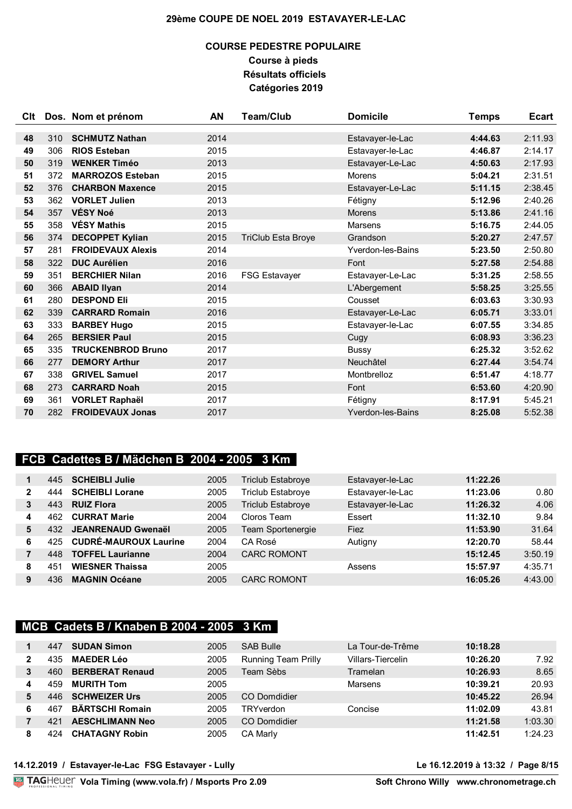## **COURSE PEDESTRE POPULAIRE Course à pieds Résultats officiels Catégories 2019**

| <b>CIt</b> |     | Dos. Nom et prénom       | AN   | <b>Team/Club</b>          | <b>Domicile</b>          | <b>Temps</b> | <b>Ecart</b> |
|------------|-----|--------------------------|------|---------------------------|--------------------------|--------------|--------------|
|            |     |                          |      |                           |                          |              |              |
| 48         | 310 | <b>SCHMUTZ Nathan</b>    | 2014 |                           | Estavayer-le-Lac         | 4:44.63      | 2:11.93      |
| 49         | 306 | <b>RIOS Esteban</b>      | 2015 |                           | Estavayer-le-Lac         | 4:46.87      | 2:14.17      |
| 50         | 319 | <b>WENKER Timéo</b>      | 2013 |                           | Estavayer-Le-Lac         | 4:50.63      | 2:17.93      |
| 51         | 372 | <b>MARROZOS Esteban</b>  | 2015 |                           | <b>Morens</b>            | 5:04.21      | 2:31.51      |
| 52         | 376 | <b>CHARBON Maxence</b>   | 2015 |                           | Estavayer-Le-Lac         | 5:11.15      | 2:38.45      |
| 53         | 362 | <b>VORLET Julien</b>     | 2013 |                           | Fétigny                  | 5:12.96      | 2:40.26      |
| 54         | 357 | VÉSY Noé                 | 2013 |                           | <b>Morens</b>            | 5:13.86      | 2:41.16      |
| 55         | 358 | <b>VÉSY Mathis</b>       | 2015 |                           | Marsens                  | 5:16.75      | 2:44.05      |
| 56         | 374 | <b>DECOPPET Kylian</b>   | 2015 | <b>TriClub Esta Broye</b> | Grandson                 | 5:20.27      | 2:47.57      |
| 57         | 281 | <b>FROIDEVAUX Alexis</b> | 2014 |                           | Yverdon-les-Bains        | 5:23.50      | 2:50.80      |
| 58         | 322 | <b>DUC Aurélien</b>      | 2016 |                           | Font                     | 5:27.58      | 2:54.88      |
| 59         | 351 | <b>BERCHIER Nilan</b>    | 2016 | <b>FSG Estavayer</b>      | Estavayer-Le-Lac         | 5:31.25      | 2:58.55      |
| 60         | 366 | <b>ABAID Ilyan</b>       | 2014 |                           | L'Abergement             | 5:58.25      | 3:25.55      |
| 61         | 280 | <b>DESPOND Eli</b>       | 2015 |                           | Cousset                  | 6:03.63      | 3:30.93      |
| 62         | 339 | <b>CARRARD Romain</b>    | 2016 |                           | Estavayer-Le-Lac         | 6:05.71      | 3:33.01      |
| 63         | 333 | <b>BARBEY Hugo</b>       | 2015 |                           | Estavayer-le-Lac         | 6:07.55      | 3:34.85      |
| 64         | 265 | <b>BERSIER Paul</b>      | 2015 |                           | Cugy                     | 6:08.93      | 3:36.23      |
| 65         | 335 | <b>TRUCKENBROD Bruno</b> | 2017 |                           | Bussy                    | 6:25.32      | 3:52.62      |
| 66         | 277 | <b>DEMORY Arthur</b>     | 2017 |                           | Neuchâtel                | 6:27.44      | 3:54.74      |
| 67         | 338 | <b>GRIVEL Samuel</b>     | 2017 |                           | Montbrelloz              | 6:51.47      | 4:18.77      |
| 68         | 273 | <b>CARRARD Noah</b>      | 2015 |                           | Font                     | 6:53.60      | 4:20.90      |
| 69         | 361 | <b>VORLET Raphaël</b>    | 2017 |                           | Fétigny                  | 8:17.91      | 5:45.21      |
| 70         | 282 | <b>FROIDEVAUX Jonas</b>  | 2017 |                           | <b>Yverdon-les-Bains</b> | 8:25.08      | 5:52.38      |

## **FCB Cadettes B / Mädchen B 2004 - 2005 3 Km**

|   | 445 | <b>SCHEIBLI Julie</b>        | 2005 | Triclub Estabroye        | Estavayer-le-Lac | 11:22.26 |         |
|---|-----|------------------------------|------|--------------------------|------------------|----------|---------|
|   | 444 | <b>SCHEIBLI Lorane</b>       | 2005 | <b>Triclub Estabroye</b> | Estavayer-le-Lac | 11:23.06 | 0.80    |
|   | 443 | <b>RUIZ Flora</b>            | 2005 | <b>Triclub Estabroye</b> | Estavayer-le-Lac | 11:26.32 | 4.06    |
| 4 | 462 | <b>CURRAT Marie</b>          | 2004 | Cloros Team              | Essert           | 11:32.10 | 9.84    |
| 5 | 432 | <b>JEANRENAUD Gwenaël</b>    | 2005 | Team Sportenergie        | Fiez             | 11:53.90 | 31.64   |
| 6 | 425 | <b>CUDRÉ-MAUROUX Laurine</b> | 2004 | CA Rosé                  | Autigny          | 12:20.70 | 58.44   |
|   | 448 | <b>TOFFEL Laurianne</b>      | 2004 | <b>CARC ROMONT</b>       |                  | 15:12.45 | 3:50.19 |
| 8 | 451 | <b>WIESNER Thaissa</b>       | 2005 |                          | Assens           | 15:57.97 | 4:35.71 |
| 9 | 436 | <b>MAGNIN Océane</b>         | 2005 | <b>CARC ROMONT</b>       |                  | 16:05.26 | 4:43.00 |

## **MCB Cadets B / Knaben B 2004 - 2005 3 Km**

|   | 447 | <b>SUDAN Simon</b>     | 2005 | <b>SAB Bulle</b>           | La Tour-de-Trême  | 10:18.28 |         |
|---|-----|------------------------|------|----------------------------|-------------------|----------|---------|
| 2 | 435 | <b>MAEDER Léo</b>      | 2005 | <b>Running Team Prilly</b> | Villars-Tiercelin | 10:26.20 | 7.92    |
| 3 | 460 | <b>BERBERAT Renaud</b> | 2005 | Team Sèbs                  | Tramelan          | 10:26.93 | 8.65    |
| 4 | 459 | <b>MURITH Tom</b>      | 2005 |                            | Marsens           | 10:39.21 | 20.93   |
| 5 | 446 | <b>SCHWEIZER Urs</b>   | 2005 | CO Domdidier               |                   | 10:45.22 | 26.94   |
| 6 | 467 | <b>BÄRTSCHI Romain</b> | 2005 | TRYverdon                  | Concise           | 11:02.09 | 43.81   |
|   | 421 | <b>AESCHLIMANN Neo</b> | 2005 | CO Domdidier               |                   | 11:21.58 | 1:03.30 |
| 8 |     | <b>CHATAGNY Robin</b>  | 2005 | <b>CA Marly</b>            |                   | 11:42.51 | 1:24.23 |

### **14.12.2019 / Estavayer-le-Lac FSG Estavayer - Lully Le 16.12.2019 à 13:32 / Page 8/15**

**Vola Timing (www.vola.fr) / Msports Pro 2.09**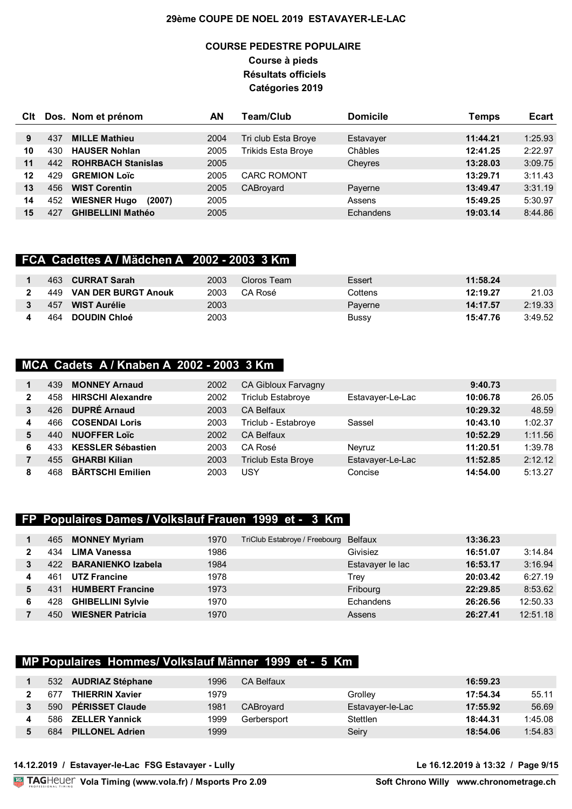## **COURSE PEDESTRE POPULAIRE Course à pieds Résultats officiels Catégories 2019**

| Clt |     | Dos. Nom et prénom            | ΑN   | Team/Club           | <b>Domicile</b> | Temps    | <b>Ecart</b> |
|-----|-----|-------------------------------|------|---------------------|-----------------|----------|--------------|
|     |     |                               |      |                     |                 |          |              |
| 9   | 437 | <b>MILLE Mathieu</b>          | 2004 | Tri club Esta Broye | Estavayer       | 11:44.21 | 1:25.93      |
| 10  | 430 | <b>HAUSER Nohlan</b>          | 2005 | Trikids Esta Broye  | Châbles         | 12:41.25 | 2:22.97      |
| 11  | 442 | <b>ROHRBACH Stanislas</b>     | 2005 |                     | Cheyres         | 13:28.03 | 3:09.75      |
| 12  | 429 | <b>GREMION Loïc</b>           | 2005 | <b>CARC ROMONT</b>  |                 | 13:29.71 | 3:11.43      |
| 13  | 456 | <b>WIST Corentin</b>          | 2005 | CABroyard           | Payerne         | 13:49.47 | 3:31.19      |
| 14  | 452 | <b>WIESNER Hugo</b><br>(2007) | 2005 |                     | Assens          | 15:49.25 | 5:30.97      |
| 15  | 427 | <b>GHIBELLINI Mathéo</b>      | 2005 |                     | Echandens       | 19:03.14 | 8:44.86      |

### **FCA Cadettes A / Mädchen A 2002 - 2003 3 Km**

| 463 | <b>CURRAT Sarah</b>        | 2003 | Cloros Team | Essert  | 11:58.24 |         |
|-----|----------------------------|------|-------------|---------|----------|---------|
| 449 | <b>VAN DER BURGT Anouk</b> | 2003 | CA Rosé     | Cottens | 12:19.27 | 21.03   |
| 457 | <b>WIST Aurélie</b>        | 2003 |             | Paverne | 14:17.57 | 2:19.33 |
| 464 | <b>DOUDIN Chloé</b>        | 2003 |             | Bussy   | 15:47.76 | 3:49.52 |

## **MCA Cadets A / Knaben A 2002 - 2003 3 Km**

|   | 439 | <b>MONNEY Arnaud</b>     | 2002 | CA Gibloux Farvagny       |                  | 9:40.73  |         |
|---|-----|--------------------------|------|---------------------------|------------------|----------|---------|
| 2 |     | <b>HIRSCHI Alexandre</b> | 2002 | Triclub Estabroye         | Estavayer-Le-Lac | 10:06.78 | 26.05   |
| 3 | 426 | <b>DUPRÉ Arnaud</b>      | 2003 | <b>CA Belfaux</b>         |                  | 10:29.32 | 48.59   |
| 4 | 466 | <b>COSENDAI Loris</b>    | 2003 | Triclub - Estabroye       | Sassel           | 10:43.10 | 1:02.37 |
| 5 | 440 | <b>NUOFFER Loïc</b>      | 2002 | <b>CA Belfaux</b>         |                  | 10:52.29 | 1:11.56 |
| 6 | 433 | <b>KESSLER Sébastien</b> | 2003 | CA Rosé                   | Nevruz           | 11:20.51 | 1:39.78 |
|   | 455 | <b>GHARBI Kilian</b>     | 2003 | <b>Triclub Esta Broye</b> | Estavayer-Le-Lac | 11:52.85 | 2:12.12 |
| 8 | 468 | <b>BÄRTSCHI Emilien</b>  | 2003 | USY                       | Concise          | 14:54.00 | 5:13.27 |

### **FP Populaires Dames / Volkslauf Frauen 1999 et - 3 Km**

|   | 465  | <b>MONNEY Myriam</b>      | 1970 | TriClub Estabroye / Freebourg | Belfaux          | 13:36.23 |          |
|---|------|---------------------------|------|-------------------------------|------------------|----------|----------|
|   | 434  | LIMA Vanessa              | 1986 |                               | Givisiez         | 16:51.07 | 3:14.84  |
|   | 422. | <b>BARANIENKO Izabela</b> | 1984 |                               | Estavayer le lac | 16:53.17 | 3:16.94  |
|   | 461  | <b>UTZ Francine</b>       | 1978 |                               | Trev             | 20:03.42 | 6:27.19  |
| 5 | 431  | <b>HUMBERT Francine</b>   | 1973 |                               | Fribourg         | 22:29.85 | 8:53.62  |
|   | 428  | <b>GHIBELLINI Sylvie</b>  | 1970 |                               | Echandens        | 26:26.56 | 12:50.33 |
|   | 450  | <b>WIESNER Patricia</b>   | 1970 |                               | Assens           | 26:27.41 | 12:51.18 |

### **MP Populaires Hommes/ Volkslauf Männer 1999 et - 5 Km**

| 532 | <b>AUDRIAZ Stéphane</b> | 1996 | <b>CA Belfaux</b> |                  | 16:59.23 |         |
|-----|-------------------------|------|-------------------|------------------|----------|---------|
| 67. | <b>THIERRIN Xavier</b>  | 1979 |                   | Grollev          | 17:54.34 | 55.11   |
| 590 | <b>PÉRISSET Claude</b>  | 1981 | CABroyard         | Estavayer-le-Lac | 17:55.92 | 56.69   |
| 586 | <b>ZELLER Yannick</b>   | 1999 | Gerbersport       | <b>Stettlen</b>  | 18:44.31 | 1:45.08 |
| 684 | <b>PILLONEL Adrien</b>  | 1999 |                   | Seiry            | 18:54.06 | 1:54.83 |

**Vola Timing (www.vola.fr) / Msports Pro 2.09**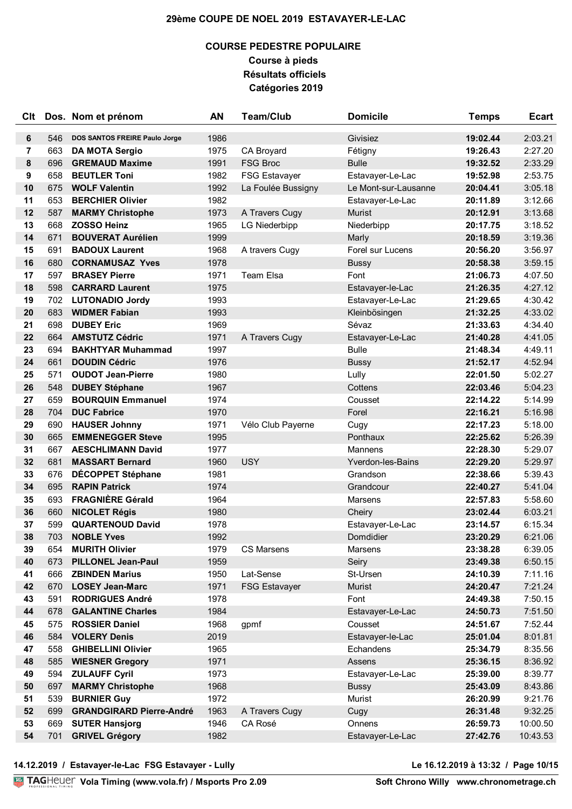## **COURSE PEDESTRE POPULAIRE Course à pieds Résultats officiels Catégories 2019**

| Clt |     | Dos. Nom et prénom              | AN   | <b>Team/Club</b>     | <b>Domicile</b>      | <b>Temps</b> | <b>Ecart</b> |
|-----|-----|---------------------------------|------|----------------------|----------------------|--------------|--------------|
| 6   | 546 | DOS SANTOS FREIRE Paulo Jorge   | 1986 |                      | Givisiez             | 19:02.44     | 2:03.21      |
| 7   | 663 | <b>DA MOTA Sergio</b>           | 1975 | CA Broyard           | Fétigny              | 19:26.43     | 2:27.20      |
| 8   | 696 | <b>GREMAUD Maxime</b>           | 1991 | <b>FSG Broc</b>      | <b>Bulle</b>         | 19:32.52     | 2:33.29      |
| 9   | 658 | <b>BEUTLER Toni</b>             | 1982 | <b>FSG Estavayer</b> | Estavayer-Le-Lac     | 19:52.98     | 2:53.75      |
| 10  | 675 | <b>WOLF Valentin</b>            | 1992 | La Foulée Bussigny   | Le Mont-sur-Lausanne | 20:04.41     | 3:05.18      |
| 11  | 653 | <b>BERCHIER Olivier</b>         | 1982 |                      | Estavayer-Le-Lac     | 20:11.89     | 3:12.66      |
| 12  | 587 | <b>MARMY Christophe</b>         | 1973 | A Travers Cugy       | Murist               | 20:12.91     | 3:13.68      |
| 13  | 668 | <b>ZOSSO Heinz</b>              | 1965 | <b>LG Niederbipp</b> | Niederbipp           | 20:17.75     | 3:18.52      |
| 14  | 671 | <b>BOUVERAT Aurélien</b>        | 1999 |                      | Marly                | 20:18.59     | 3:19.36      |
| 15  | 691 | <b>BADOUX Laurent</b>           | 1968 | A travers Cugy       | Forel sur Lucens     | 20:56.20     | 3:56.97      |
| 16  | 680 | <b>CORNAMUSAZ Yves</b>          | 1978 |                      | <b>Bussy</b>         | 20:58.38     | 3:59.15      |
| 17  | 597 | <b>BRASEY Pierre</b>            | 1971 | <b>Team Elsa</b>     | Font                 | 21:06.73     | 4:07.50      |
| 18  | 598 | <b>CARRARD Laurent</b>          | 1975 |                      | Estavayer-le-Lac     | 21:26.35     | 4:27.12      |
| 19  | 702 | <b>LUTONADIO Jordy</b>          | 1993 |                      | Estavayer-Le-Lac     | 21:29.65     | 4:30.42      |
| 20  | 683 | <b>WIDMER Fabian</b>            | 1993 |                      | Kleinbösingen        | 21:32.25     | 4:33.02      |
| 21  | 698 | <b>DUBEY Eric</b>               | 1969 |                      | Sévaz                | 21:33.63     | 4:34.40      |
| 22  | 664 | <b>AMSTUTZ Cédric</b>           | 1971 | A Travers Cugy       | Estavayer-Le-Lac     | 21:40.28     | 4:41.05      |
| 23  | 694 | <b>BAKHTYAR Muhammad</b>        | 1997 |                      | <b>Bulle</b>         | 21:48.34     | 4:49.11      |
| 24  | 661 | <b>DOUDIN Cédric</b>            | 1976 |                      | <b>Bussy</b>         | 21:52.17     | 4:52.94      |
| 25  | 571 | <b>OUDOT Jean-Pierre</b>        | 1980 |                      | Lully                | 22:01.50     | 5:02.27      |
| 26  | 548 | <b>DUBEY Stéphane</b>           | 1967 |                      | Cottens              | 22:03.46     | 5:04.23      |
| 27  | 659 | <b>BOURQUIN Emmanuel</b>        | 1974 |                      | Cousset              | 22:14.22     | 5:14.99      |
| 28  | 704 | <b>DUC Fabrice</b>              | 1970 |                      | Forel                | 22:16.21     | 5:16.98      |
| 29  | 690 | <b>HAUSER Johnny</b>            | 1971 | Vélo Club Payerne    | Cugy                 | 22:17.23     | 5:18.00      |
| 30  | 665 | <b>EMMENEGGER Steve</b>         | 1995 |                      | Ponthaux             | 22:25.62     | 5:26.39      |
| 31  | 667 | <b>AESCHLIMANN David</b>        | 1977 |                      | Mannens              | 22:28.30     | 5:29.07      |
| 32  | 681 | <b>MASSART Bernard</b>          | 1960 | <b>USY</b>           | Yverdon-les-Bains    | 22:29.20     | 5:29.97      |
| 33  | 676 | DÉCOPPET Stéphane               | 1981 |                      | Grandson             | 22:38.66     | 5:39.43      |
| 34  | 695 | <b>RAPIN Patrick</b>            | 1974 |                      | Grandcour            | 22:40.27     | 5:41.04      |
| 35  | 693 | <b>FRAGNIÈRE Gérald</b>         | 1964 |                      | Marsens              | 22:57.83     | 5:58.60      |
| 36  | 660 | <b>NICOLET Régis</b>            | 1980 |                      | Cheiry               | 23:02.44     | 6:03.21      |
| 37  | 599 | <b>QUARTENOUD David</b>         | 1978 |                      | Estavayer-Le-Lac     | 23:14.57     | 6:15.34      |
| 38  | 703 | <b>NOBLE Yves</b>               | 1992 |                      | Domdidier            | 23:20.29     | 6:21.06      |
| 39  | 654 | <b>MURITH Olivier</b>           | 1979 | <b>CS Marsens</b>    | Marsens              | 23:38.28     | 6:39.05      |
| 40  | 673 | <b>PILLONEL Jean-Paul</b>       | 1959 |                      | Seiry                | 23:49.38     | 6:50.15      |
| 41  | 666 | <b>ZBINDEN Marius</b>           | 1950 | Lat-Sense            | St-Ursen             | 24:10.39     | 7:11.16      |
| 42  | 670 | <b>LOSEY Jean-Marc</b>          | 1971 | <b>FSG Estavayer</b> | Murist               | 24:20.47     | 7:21.24      |
| 43  | 591 | <b>RODRIGUES André</b>          | 1978 |                      | Font                 | 24:49.38     | 7:50.15      |
| 44  | 678 | <b>GALANTINE Charles</b>        | 1984 |                      | Estavayer-Le-Lac     | 24:50.73     | 7:51.50      |
| 45  | 575 | <b>ROSSIER Daniel</b>           | 1968 | gpmf                 | Cousset              | 24:51.67     | 7:52.44      |
| 46  | 584 | <b>VOLERY Denis</b>             | 2019 |                      | Estavayer-le-Lac     | 25:01.04     | 8:01.81      |
| 47  | 558 | <b>GHIBELLINI Olivier</b>       | 1965 |                      | Echandens            | 25:34.79     | 8:35.56      |
| 48  | 585 | <b>WIESNER Gregory</b>          | 1971 |                      | Assens               | 25:36.15     | 8:36.92      |
| 49  | 594 | <b>ZULAUFF Cyril</b>            | 1973 |                      | Estavayer-Le-Lac     | 25:39.00     | 8:39.77      |
| 50  | 697 | <b>MARMY Christophe</b>         | 1968 |                      | <b>Bussy</b>         | 25:43.09     | 8:43.86      |
| 51  | 539 | <b>BURNIER Guy</b>              | 1972 |                      | Murist               | 26:20.99     | 9:21.76      |
| 52  | 699 | <b>GRANDGIRARD Pierre-André</b> | 1963 | A Travers Cugy       | Cugy                 | 26:31.48     | 9:32.25      |
| 53  | 669 | <b>SUTER Hansjorg</b>           | 1946 | CA Rosé              | Onnens               | 26:59.73     | 10:00.50     |
| 54  | 701 | <b>GRIVEL Grégory</b>           | 1982 |                      | Estavayer-Le-Lac     | 27:42.76     | 10:43.53     |

**14.12.2019 / Estavayer-le-Lac FSG Estavayer - Lully Le 16.12.2019 à 13:32 / Page 10/15**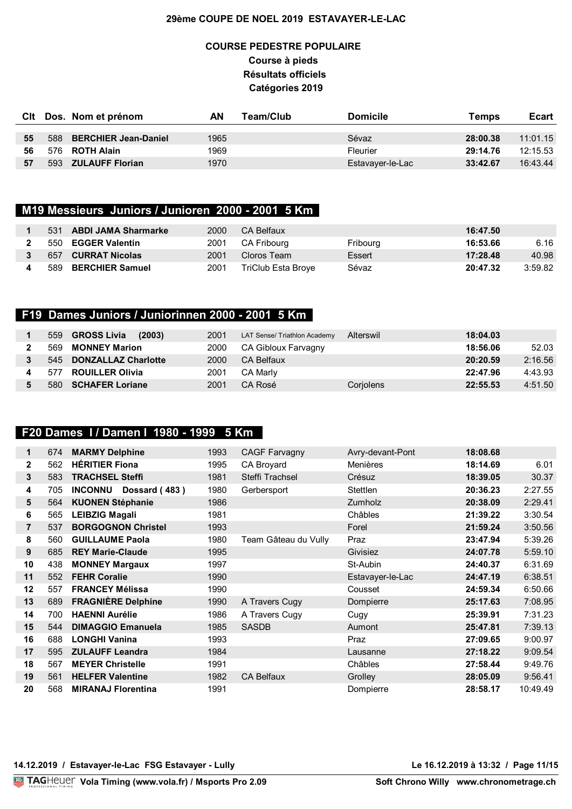## **COURSE PEDESTRE POPULAIRE Course à pieds Résultats officiels Catégories 2019**

|    |     | Cit Dos. Nom et prénom   | ΑN   | Team/Club | <b>Domicile</b>  | Temps    | <b>Ecart</b> |
|----|-----|--------------------------|------|-----------|------------------|----------|--------------|
|    |     |                          |      |           |                  |          |              |
| 55 |     | 588 BERCHIER Jean-Daniel | 1965 |           | Sévaz            | 28:00.38 | 11:01.15     |
| 56 |     | 576 <b>ROTH Alain</b>    | 1969 |           | <b>Fleurier</b>  | 29:14.76 | 12:15.53     |
| 57 | 593 | <b>ZULAUFF Florian</b>   | 1970 |           | Estavayer-le-Lac | 33:42.67 | 16:43.44     |

# **M19 Messieurs Juniors / Junioren 2000 - 2001 5 Km**

|  | 531 ABDI JAMA Sharmarke   | 2000 | CA Belfaux         |          | 16:47.50 |         |
|--|---------------------------|------|--------------------|----------|----------|---------|
|  | 550 <b>EGGER Valentin</b> | 2001 | CA Fribourg        | Fribourg | 16:53.66 | 6.16    |
|  | 657 CURRAT Nicolas        | 2001 | Cloros Team        | Essert   | 17:28.48 | 40.98   |
|  | 589 BERCHIER Samuel       | 2001 | TriClub Esta Broye | Sévaz    | 20:47.32 | 3:59.82 |

## **F19 Dames Juniors / Juniorinnen 2000 - 2001 5 Km**

|      | 559 GROSS Livia<br>(2003)      | 2001 | LAT Sense/ Triathlon Academy | Alterswil | 18:04.03 |         |
|------|--------------------------------|------|------------------------------|-----------|----------|---------|
| 569  | <b>MONNEY Marion</b>           | 2000 | CA Gibloux Farvagny          |           | 18:56.06 | 52.03   |
|      | 545 <b>DONZALLAZ Charlotte</b> | 2000 | CA Belfaux                   |           | 20:20.59 | 2:16.56 |
| 577  | <b>ROUILLER Olivia</b>         | 2001 | CA Marlv                     |           | 22:47.96 | 4:43.93 |
| 580. | SCHAFER Loriane                | 2001 | CA Rosé                      | Corjolens | 22:55.53 | 4:51.50 |

### **F20 Dames I / Damen I 1980 - 1999 5 Km**

| 1              | 674 | <b>MARMY Delphine</b>           | 1993 | <b>CAGF Farvagny</b> | Avry-devant-Pont | 18:08.68 |          |
|----------------|-----|---------------------------------|------|----------------------|------------------|----------|----------|
| $\mathbf{2}$   | 562 | <b>HÉRITIER Fiona</b>           | 1995 | CA Broyard           | Menières         | 18:14.69 | 6.01     |
| 3              | 583 | <b>TRACHSEL Steffi</b>          | 1981 | Steffi Trachsel      | Crésuz           | 18:39.05 | 30.37    |
| 4              | 705 | <b>INCONNU</b><br>Dossard (483) | 1980 | Gerbersport          | <b>Stettlen</b>  | 20:36.23 | 2:27.55  |
| 5              | 564 | <b>KUONEN Stéphanie</b>         | 1986 |                      | Zumholz          | 20:38.09 | 2:29.41  |
| 6              | 565 | <b>LEIBZIG Magali</b>           | 1981 |                      | Châbles          | 21:39.22 | 3:30.54  |
| $\overline{7}$ | 537 | <b>BORGOGNON Christel</b>       | 1993 |                      | Forel            | 21:59.24 | 3:50.56  |
| 8              | 560 | <b>GUILLAUME Paola</b>          | 1980 | Team Gâteau du Vully | Praz             | 23:47.94 | 5:39.26  |
| 9              | 685 | <b>REY Marie-Claude</b>         | 1995 |                      | Givisiez         | 24:07.78 | 5:59.10  |
| 10             | 438 | <b>MONNEY Margaux</b>           | 1997 |                      | St-Aubin         | 24:40.37 | 6:31.69  |
| 11             | 552 | <b>FEHR Coralie</b>             | 1990 |                      | Estavayer-le-Lac | 24:47.19 | 6:38.51  |
| $12 \,$        | 557 | <b>FRANCEY Mélissa</b>          | 1990 |                      | Cousset          | 24:59.34 | 6:50.66  |
| 13             | 689 | <b>FRAGNIÈRE Delphine</b>       | 1990 | A Travers Cugy       | Dompierre        | 25:17.63 | 7:08.95  |
| 14             | 700 | <b>HAENNI Aurélie</b>           | 1986 | A Travers Cugy       | Cugy             | 25:39.91 | 7:31.23  |
| 15             | 544 | <b>DIMAGGIO Emanuela</b>        | 1985 | <b>SASDB</b>         | Aumont           | 25:47.81 | 7:39.13  |
| 16             | 688 | <b>LONGHI Vanina</b>            | 1993 |                      | Praz             | 27:09.65 | 9:00.97  |
| 17             | 595 | <b>ZULAUFF Leandra</b>          | 1984 |                      | Lausanne         | 27:18.22 | 9:09.54  |
| 18             | 567 | <b>MEYER Christelle</b>         | 1991 |                      | Châbles          | 27:58.44 | 9:49.76  |
| 19             | 561 | <b>HELFER Valentine</b>         | 1982 | <b>CA Belfaux</b>    | Grolley          | 28:05.09 | 9:56.41  |
| 20             | 568 | <b>MIRANAJ Florentina</b>       | 1991 |                      | Dompierre        | 28:58.17 | 10:49.49 |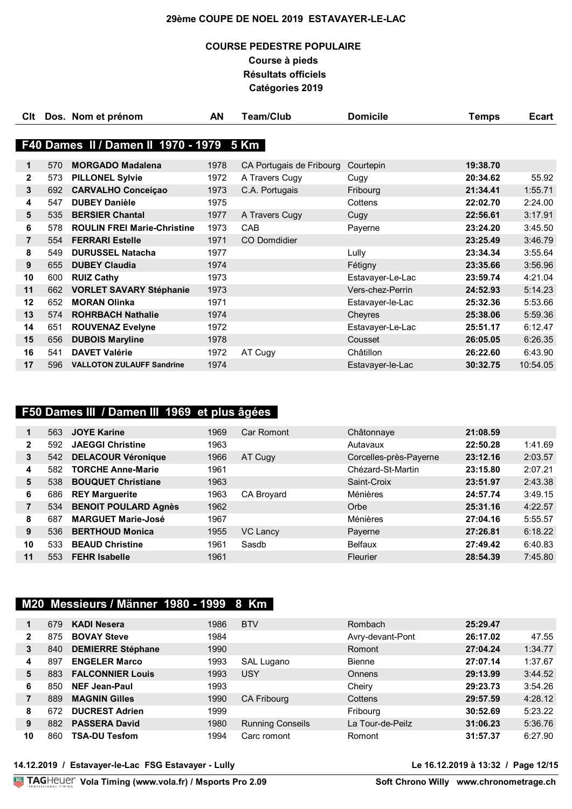## **COURSE PEDESTRE POPULAIRE Course à pieds Résultats officiels Catégories 2019**

| Clt |     | Dos. Nom et prénom                       | AN   | <b>Team/Club</b>         | <b>Domicile</b>  | Temps    | <b>Ecart</b> |
|-----|-----|------------------------------------------|------|--------------------------|------------------|----------|--------------|
|     |     |                                          |      |                          |                  |          |              |
|     |     | F40 Dames II / Damen II 1970 - 1979 5 Km |      |                          |                  |          |              |
| 1   | 570 | <b>MORGADO Madalena</b>                  | 1978 | CA Portugais de Fribourg | Courtepin        | 19:38.70 |              |
| 2   | 573 | <b>PILLONEL Sylvie</b>                   | 1972 | A Travers Cugy           | Cugy             | 20:34.62 | 55.92        |
| 3   | 692 | <b>CARVALHO Conceiçao</b>                | 1973 | C.A. Portugais           | Fribourg         | 21:34.41 | 1:55.71      |
| 4   | 547 | <b>DUBEY Danièle</b>                     | 1975 |                          | Cottens          | 22:02.70 | 2:24.00      |
| 5   | 535 | <b>BERSIER Chantal</b>                   | 1977 | A Travers Cugy           | Cugy             | 22:56.61 | 3:17.91      |
| 6   | 578 | <b>ROULIN FREI Marie-Christine</b>       | 1973 | CAB                      | Payerne          | 23:24.20 | 3:45.50      |
| 7   | 554 | <b>FERRARI Estelle</b>                   | 1971 | <b>CO Domdidier</b>      |                  | 23:25.49 | 3:46.79      |
| 8   | 549 | <b>DURUSSEL Natacha</b>                  | 1977 |                          | Lully            | 23:34.34 | 3:55.64      |
| 9   | 655 | <b>DUBEY Claudia</b>                     | 1974 |                          | Fétigny          | 23:35.66 | 3:56.96      |
| 10  | 600 | <b>RUIZ Cathy</b>                        | 1973 |                          | Estavayer-Le-Lac | 23:59.74 | 4:21.04      |
| 11  | 662 | <b>VORLET SAVARY Stéphanie</b>           | 1973 |                          | Vers-chez-Perrin | 24:52.93 | 5:14.23      |
| 12  | 652 | <b>MORAN Olinka</b>                      | 1971 |                          | Estavayer-le-Lac | 25:32.36 | 5:53.66      |
| 13  | 574 | <b>ROHRBACH Nathalie</b>                 | 1974 |                          | Cheyres          | 25:38.06 | 5:59.36      |
| 14  | 651 | <b>ROUVENAZ Evelyne</b>                  | 1972 |                          | Estavayer-Le-Lac | 25:51.17 | 6:12.47      |
| 15  | 656 | <b>DUBOIS Maryline</b>                   | 1978 |                          | Cousset          | 26:05.05 | 6:26.35      |
| 16  | 541 | <b>DAVET Valérie</b>                     | 1972 | AT Cugy                  | Châtillon        | 26:22.60 | 6:43.90      |
| 17  | 596 | <b>VALLOTON ZULAUFF Sandrine</b>         | 1974 |                          | Estavayer-le-Lac | 30:32.75 | 10:54.05     |

## **F50 Dames III / Damen III 1969 et plus âgées**

|                | 563 | <b>JOYE Karine</b>          | 1969 | Car Romont        | Châtonnaye             | 21:08.59 |         |
|----------------|-----|-----------------------------|------|-------------------|------------------------|----------|---------|
| $\mathbf{2}$   | 592 | <b>JAEGGI Christine</b>     | 1963 |                   | Autavaux               | 22:50.28 | 1:41.69 |
| 3              | 542 | <b>DELACOUR Véronique</b>   | 1966 | AT Cugy           | Corcelles-près-Payerne | 23:12.16 | 2:03.57 |
| 4              | 582 | <b>TORCHE Anne-Marie</b>    | 1961 |                   | Chézard-St-Martin      | 23:15.80 | 2:07.21 |
| 5              | 538 | <b>BOUQUET Christiane</b>   | 1963 |                   | Saint-Croix            | 23:51.97 | 2:43.38 |
| 6              | 686 | <b>REY Marguerite</b>       | 1963 | <b>CA Brovard</b> | Ménières               | 24:57.74 | 3:49.15 |
| $\overline{7}$ | 534 | <b>BENOIT POULARD Agnès</b> | 1962 |                   | Orbe                   | 25:31.16 | 4:22.57 |
| 8              | 687 | <b>MARGUET Marie-José</b>   | 1967 |                   | Ménières               | 27:04.16 | 5:55.57 |
| 9              | 536 | <b>BERTHOUD Monica</b>      | 1955 | <b>VC Lancy</b>   | Payerne                | 27:26.81 | 6:18.22 |
| 10             | 533 | <b>BEAUD Christine</b>      | 1961 | Sasdb             | <b>Belfaux</b>         | 27:49.42 | 6:40.83 |
| 11             | 553 | <b>FEHR Isabelle</b>        | 1961 |                   | Fleurier               | 28:54.39 | 7:45.80 |

## **M20 Messieurs / Männer 1980 - 1999 8 Km**

|              | 679 | <b>KADI Nesera</b>       | 1986 | <b>BTV</b>              | Rombach          | 25:29.47 |         |
|--------------|-----|--------------------------|------|-------------------------|------------------|----------|---------|
| $\mathbf{2}$ | 875 | <b>BOVAY Steve</b>       | 1984 |                         | Avry-devant-Pont | 26:17.02 | 47.55   |
| 3            | 840 | <b>DEMIERRE Stéphane</b> | 1990 |                         | Romont           | 27:04.24 | 1:34.77 |
| 4            | 897 | <b>ENGELER Marco</b>     | 1993 | SAL Lugano              | <b>Bienne</b>    | 27:07.14 | 1:37.67 |
| 5            | 883 | <b>FALCONNIER Louis</b>  | 1993 | <b>USY</b>              | <b>Onnens</b>    | 29:13.99 | 3:44.52 |
| 6            | 850 | <b>NEF Jean-Paul</b>     | 1993 |                         | Cheiry           | 29:23.73 | 3:54.26 |
|              | 889 | <b>MAGNIN Gilles</b>     | 1990 | <b>CA Fribourg</b>      | Cottens          | 29:57.59 | 4:28.12 |
| 8            | 672 | <b>DUCREST Adrien</b>    | 1999 |                         | Fribourg         | 30:52.69 | 5:23.22 |
| 9            | 882 | <b>PASSERA David</b>     | 1980 | <b>Running Conseils</b> | La Tour-de-Peilz | 31:06.23 | 5:36.76 |
| 10           | 860 | <b>TSA-DU Tesfom</b>     | 1994 | Carc romont             | Romont           | 31:57.37 | 6:27.90 |

### **14.12.2019 / Estavayer-le-Lac FSG Estavayer - Lully Le 16.12.2019 à 13:32 / Page 12/15**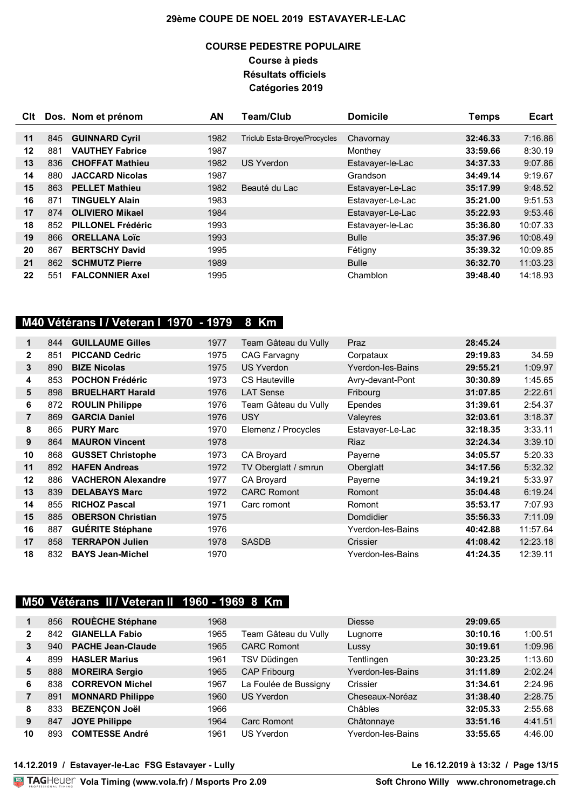### **COURSE PEDESTRE POPULAIRE Course à pieds Résultats officiels Catégories 2019**

| Clt |     | Dos. Nom et prénom       | AN   | <b>Team/Club</b>             | <b>Domicile</b>  | Temps    | <b>Ecart</b> |
|-----|-----|--------------------------|------|------------------------------|------------------|----------|--------------|
|     |     |                          |      |                              |                  |          |              |
| 11  | 845 | <b>GUINNARD Cyril</b>    | 1982 | Triclub Esta-Broye/Procycles | Chavornay        | 32:46.33 | 7:16.86      |
| 12  | 881 | <b>VAUTHEY Fabrice</b>   | 1987 |                              | Monthey          | 33:59.66 | 8:30.19      |
| 13  | 836 | <b>CHOFFAT Mathieu</b>   | 1982 | <b>US Yverdon</b>            | Estavayer-le-Lac | 34:37.33 | 9:07.86      |
| 14  | 880 | <b>JACCARD Nicolas</b>   | 1987 |                              | Grandson         | 34:49.14 | 9:19.67      |
| 15  | 863 | <b>PELLET Mathieu</b>    | 1982 | Beauté du Lac                | Estavayer-Le-Lac | 35:17.99 | 9:48.52      |
| 16  | 871 | <b>TINGUELY Alain</b>    | 1983 |                              | Estavayer-Le-Lac | 35:21.00 | 9:51.53      |
| 17  | 874 | <b>OLIVIERO Mikael</b>   | 1984 |                              | Estavayer-Le-Lac | 35:22.93 | 9:53.46      |
| 18  | 852 | <b>PILLONEL Frédéric</b> | 1993 |                              | Estavayer-le-Lac | 35:36.80 | 10:07.33     |
| 19  | 866 | <b>ORELLANA Loïc</b>     | 1993 |                              | <b>Bulle</b>     | 35:37.96 | 10:08.49     |
| 20  | 867 | <b>BERTSCHY David</b>    | 1995 |                              | Fétigny          | 35:39.32 | 10:09.85     |
| 21  | 862 | <b>SCHMUTZ Pierre</b>    | 1989 |                              | <b>Bulle</b>     | 36:32.70 | 11:03.23     |
| 22  | 551 | <b>FALCONNIER Axel</b>   | 1995 |                              | Chamblon         | 39:48.40 | 14:18.93     |

# **M40 Vétérans I / Veteran I 1970 - 1979 8 Km**

| 1              | 844 | <b>GUILLAUME Gilles</b>   | 1977 | Team Gâteau du Vully | Praz              | 28:45.24 |          |
|----------------|-----|---------------------------|------|----------------------|-------------------|----------|----------|
| $\mathbf{2}$   | 851 | <b>PICCAND Cedric</b>     | 1975 | <b>CAG Farvagny</b>  | Corpataux         | 29:19.83 | 34.59    |
| 3              | 890 | <b>BIZE Nicolas</b>       | 1975 | <b>US Yverdon</b>    | Yverdon-les-Bains | 29:55.21 | 1:09.97  |
| 4              | 853 | <b>POCHON Frédéric</b>    | 1973 | CS Hauteville        | Avry-devant-Pont  | 30:30.89 | 1:45.65  |
| 5              | 898 | <b>BRUELHART Harald</b>   | 1976 | <b>LAT Sense</b>     | Fribourg          | 31:07.85 | 2:22.61  |
| 6              | 872 | <b>ROULIN Philippe</b>    | 1976 | Team Gâteau du Vully | Ependes           | 31:39.61 | 2:54.37  |
| $\overline{7}$ | 869 | <b>GARCIA Daniel</b>      | 1976 | USY                  | Valeyres          | 32:03.61 | 3:18.37  |
| 8              | 865 | <b>PURY Marc</b>          | 1970 | Elemenz / Procycles  | Estavayer-Le-Lac  | 32:18.35 | 3:33.11  |
| 9              | 864 | <b>MAURON Vincent</b>     | 1978 |                      | <b>Riaz</b>       | 32:24.34 | 3:39.10  |
| 10             | 868 | <b>GUSSET Christophe</b>  | 1973 | CA Broyard           | Payerne           | 34:05.57 | 5:20.33  |
| 11             | 892 | <b>HAFEN Andreas</b>      | 1972 | TV Oberglatt / smrun | Oberglatt         | 34:17.56 | 5:32.32  |
| 12             | 886 | <b>VACHERON Alexandre</b> | 1977 | CA Broyard           | Payerne           | 34:19.21 | 5:33.97  |
| 13             | 839 | <b>DELABAYS Marc</b>      | 1972 | <b>CARC Romont</b>   | Romont            | 35:04.48 | 6:19.24  |
| 14             | 855 | <b>RICHOZ Pascal</b>      | 1971 | Carc romont          | Romont            | 35:53.17 | 7:07.93  |
| 15             | 885 | <b>OBERSON Christian</b>  | 1975 |                      | Domdidier         | 35:56.33 | 7:11.09  |
| 16             | 887 | <b>GUÉRITE Stéphane</b>   | 1976 |                      | Yverdon-les-Bains | 40:42.88 | 11:57.64 |
| 17             | 858 | <b>TERRAPON Julien</b>    | 1978 | <b>SASDB</b>         | Crissier          | 41:08.42 | 12:23.18 |
| 18             | 832 | <b>BAYS Jean-Michel</b>   | 1970 |                      | Yverdon-les-Bains | 41:24.35 | 12:39.11 |

# **M50 Vétérans II / Veteran II 1960 - 1969 8 Km**

|    | 856 | ROUÈCHE Stéphane         | 1968 |                       | <b>Diesse</b>     | 29:09.65 |         |
|----|-----|--------------------------|------|-----------------------|-------------------|----------|---------|
| 2  | 842 | <b>GIANELLA Fabio</b>    | 1965 | Team Gâteau du Vully  | Lugnorre          | 30:10.16 | 1:00.51 |
| 3  | 940 | <b>PACHE Jean-Claude</b> | 1965 | <b>CARC Romont</b>    | Lussy             | 30:19.61 | 1:09.96 |
| 4  | 899 | <b>HASLER Marius</b>     | 1961 | TSV Düdingen          | Tentlingen        | 30:23.25 | 1:13.60 |
| 5  | 888 | <b>MOREIRA Sergio</b>    | 1965 | <b>CAP Fribourg</b>   | Yverdon-les-Bains | 31:11.89 | 2:02.24 |
| 6  | 838 | <b>CORREVON Michel</b>   | 1967 | La Foulée de Bussigny | Crissier          | 31:34.61 | 2:24.96 |
|    | 891 | <b>MONNARD Philippe</b>  | 1960 | <b>US Yverdon</b>     | Cheseaux-Noréaz   | 31:38.40 | 2:28.75 |
| 8  | 833 | <b>BEZENCON Joël</b>     | 1966 |                       | Châbles           | 32:05.33 | 2:55.68 |
| 9  | 847 | <b>JOYE Philippe</b>     | 1964 | Carc Romont           | Châtonnaye        | 33:51.16 | 4:41.51 |
| 10 | 893 | <b>COMTESSE André</b>    | 1961 | US Yverdon            | Yverdon-les-Bains | 33:55.65 | 4:46.00 |

**14.12.2019 / Estavayer-le-Lac FSG Estavayer - Lully Le 16.12.2019 à 13:32 / Page 13/15**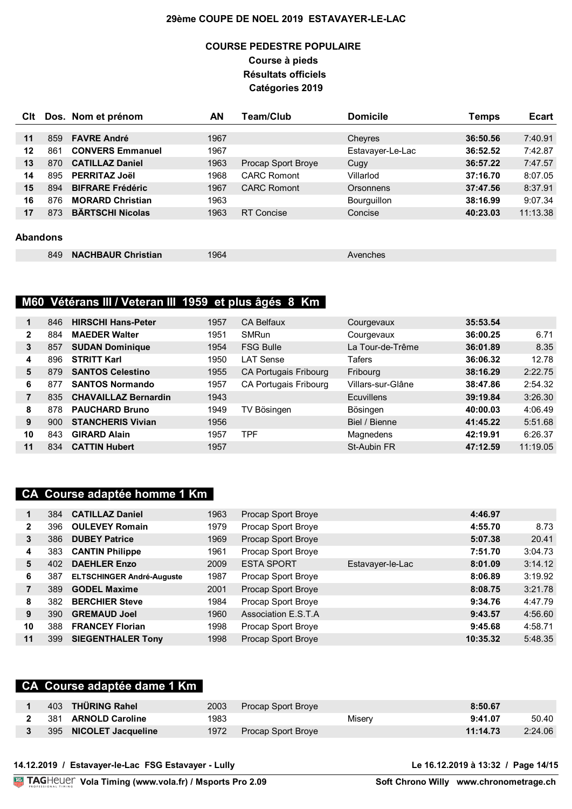### **COURSE PEDESTRE POPULAIRE Course à pieds Résultats officiels Catégories 2019**

| <b>C</b> lt     |     | Dos. Nom et prénom        | AN   | <b>Team/Club</b>   | <b>Domicile</b>  | Temps    | <b>Ecart</b> |
|-----------------|-----|---------------------------|------|--------------------|------------------|----------|--------------|
|                 |     |                           |      |                    |                  |          |              |
| 11              | 859 | <b>FAVRE André</b>        | 1967 |                    | Cheyres          | 36:50.56 | 7:40.91      |
| 12              | 861 | <b>CONVERS Emmanuel</b>   | 1967 |                    | Estavayer-Le-Lac | 36:52.52 | 7:42.87      |
| 13              | 870 | <b>CATILLAZ Daniel</b>    | 1963 | Procap Sport Broye | Cugy             | 36:57.22 | 7:47.57      |
| 14              | 895 | <b>PERRITAZ Joël</b>      | 1968 | <b>CARC Romont</b> | Villarlod        | 37:16.70 | 8:07.05      |
| 15              | 894 | <b>BIFRARE Frédéric</b>   | 1967 | <b>CARC Romont</b> | Orsonnens        | 37:47.56 | 8:37.91      |
| 16              | 876 | <b>MORARD Christian</b>   | 1963 |                    | Bourguillon      | 38:16.99 | 9:07.34      |
| 17              | 873 | <b>BÄRTSCHI Nicolas</b>   | 1963 | <b>RT Concise</b>  | Concise          | 40:23.03 | 11:13.38     |
|                 |     |                           |      |                    |                  |          |              |
| <b>Abandons</b> |     |                           |      |                    |                  |          |              |
|                 | 849 | <b>NACHBAUR Christian</b> | 1964 |                    | Avenches         |          |              |

## **M60 Vétérans III / Veteran III 1959 et plus âgés 8 Km**

|              | 846  | <b>HIRSCHI Hans-Peter</b>   | 1957 | <b>CA Belfaux</b>     | Courgevaux        | 35:53.54 |          |
|--------------|------|-----------------------------|------|-----------------------|-------------------|----------|----------|
| $\mathbf{2}$ | 884  | <b>MAEDER Walter</b>        | 1951 | <b>SMRun</b>          | Courgevaux        | 36:00.25 | 6.71     |
| 3            | 857  | <b>SUDAN Dominique</b>      | 1954 | <b>FSG Bulle</b>      | La Tour-de-Trême  | 36:01.89 | 8.35     |
| 4            | 896  | <b>STRITT Karl</b>          | 1950 | I AT Sense            | Tafers            | 36:06.32 | 12.78    |
| 5            | 879  | <b>SANTOS Celestino</b>     | 1955 | CA Portugais Fribourg | Fribourg          | 38:16.29 | 2:22.75  |
| 6            | 877  | <b>SANTOS Normando</b>      | 1957 | CA Portugais Fribourg | Villars-sur-Glâne | 38:47.86 | 2:54.32  |
| 7            | 835  | <b>CHAVAILLAZ Bernardin</b> | 1943 |                       | <b>Ecuvillens</b> | 39:19.84 | 3:26.30  |
| 8            | 878  | <b>PAUCHARD Bruno</b>       | 1949 | TV Bösingen           | Bösingen          | 40:00.03 | 4:06.49  |
| 9            | 900. | <b>STANCHERIS Vivian</b>    | 1956 |                       | Biel / Bienne     | 41:45.22 | 5:51.68  |
| 10           | 843  | <b>GIRARD Alain</b>         | 1957 | TPF                   | Magnedens         | 42:19.91 | 6:26.37  |
| 11           | 834  | <b>CATTIN Hubert</b>        | 1957 |                       | St-Aubin FR       | 47:12.59 | 11:19.05 |

### **CA Course adaptée homme 1 Km**

|    | 384 | <b>CATILLAZ Daniel</b>           | 1963 | Procap Sport Broye  |                  | 4:46.97  |         |
|----|-----|----------------------------------|------|---------------------|------------------|----------|---------|
| 2  | 396 | <b>OULEVEY Romain</b>            | 1979 | Procap Sport Broye  |                  | 4:55.70  | 8.73    |
| 3  | 386 | <b>DUBEY Patrice</b>             | 1969 | Procap Sport Broye  |                  | 5:07.38  | 20.41   |
| 4  | 383 | <b>CANTIN Philippe</b>           | 1961 | Procap Sport Broye  |                  | 7:51.70  | 3:04.73 |
| 5  | 402 | <b>DAEHLER Enzo</b>              | 2009 | <b>ESTA SPORT</b>   | Estavayer-le-Lac | 8:01.09  | 3:14.12 |
| 6  | 387 | <b>ELTSCHINGER André-Auguste</b> | 1987 | Procap Sport Broye  |                  | 8:06.89  | 3:19.92 |
| 7  | 389 | <b>GODEL Maxime</b>              | 2001 | Procap Sport Broye  |                  | 8:08.75  | 3:21.78 |
| 8  | 382 | <b>BERCHIER Steve</b>            | 1984 | Procap Sport Broye  |                  | 9:34.76  | 4:47.79 |
| 9  | 390 | <b>GREMAUD Joel</b>              | 1960 | Association E.S.T.A |                  | 9:43.57  | 4:56.60 |
| 10 | 388 | <b>FRANCEY Florian</b>           | 1998 | Procap Sport Broye  |                  | 9:45.68  | 4:58.71 |
| 11 | 399 | <b>SIEGENTHALER Tony</b>         | 1998 | Procap Sport Broye  |                  | 10:35.32 | 5:48.35 |

### **CA Course adaptée dame 1 Km**

|  | 403 THÜRING Rahel        | 2003 | Procap Sport Broye |        | 8:50.67  |         |
|--|--------------------------|------|--------------------|--------|----------|---------|
|  | 2 381 ARNOLD Caroline    | 1983 |                    | Misery | 9:41.07  | 50.40   |
|  | 3 395 NICOLET Jacqueline | 1972 | Procap Sport Broye |        | 11:14.73 | 2:24.06 |

**Vola Timing (www.vola.fr) / Msports Pro 2.09**